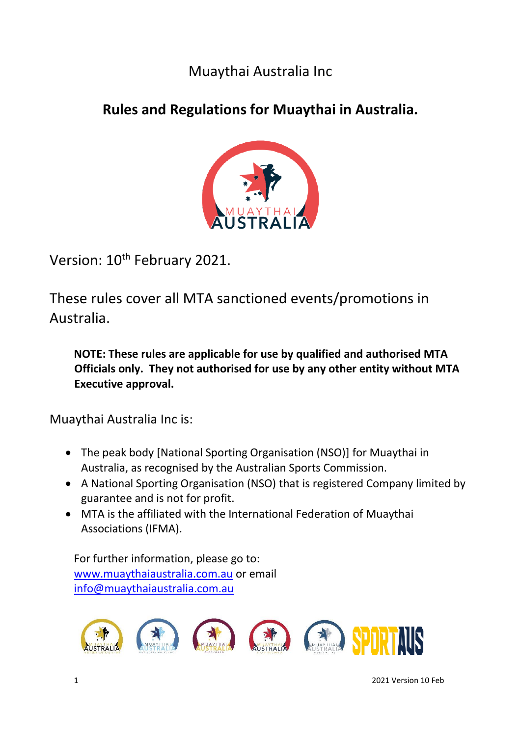# Muaythai Australia Inc

# **Rules and Regulations for Muaythai in Australia.**



Version: 10<sup>th</sup> February 2021.

These rules cover all MTA sanctioned events/promotions in Australia.

**NOTE: These rules are applicable for use by qualified and authorised MTA Officials only. They not authorised for use by any other entity without MTA Executive approval.** 

Muaythai Australia Inc is:

- The peak body [National Sporting Organisation (NSO)] for Muaythai in Australia, as recognised by the Australian Sports Commission.
- A National Sporting Organisation (NSO) that is registered Company limited by guarantee and is not for profit.
- MTA is the affiliated with the International Federation of Muaythai Associations (IFMA).

For further information, please go to: [www.muaythaiaustralia.com.au](http://www.muaythaiaustralia.com.au/) or email [info@muaythaiaustralia.com.au](mailto:info@muaythaiaustralia.com.au)

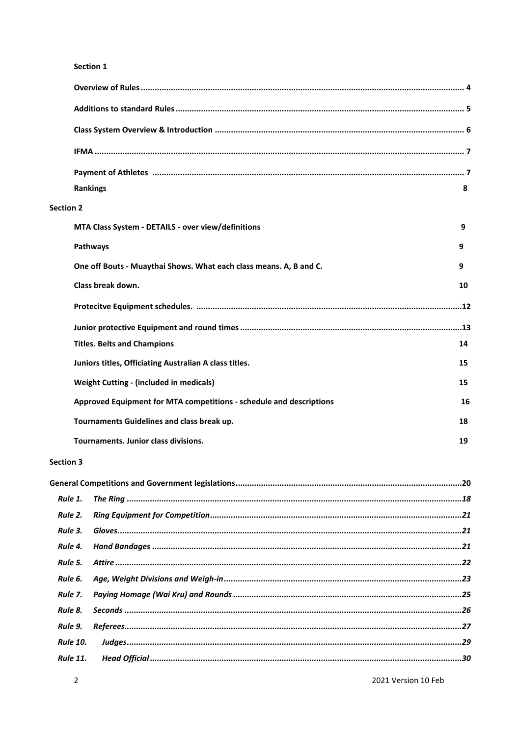#### Section 1

| <b>Rankings</b>                                                     | 8  |
|---------------------------------------------------------------------|----|
| <b>Section 2</b>                                                    |    |
| MTA Class System - DETAILS - over view/definitions                  | 9  |
| Pathways                                                            | 9  |
| One off Bouts - Muaythai Shows. What each class means. A, B and C.  | 9  |
| Class break down.                                                   | 10 |
|                                                                     |    |
|                                                                     |    |
| <b>Titles. Belts and Champions</b>                                  | 14 |
| Juniors titles, Officiating Australian A class titles.              | 15 |
| Weight Cutting - (included in medicals)                             | 15 |
| Approved Equipment for MTA competitions - schedule and descriptions | 16 |
| Tournaments Guidelines and class break up.                          | 18 |
| Tournaments, Junior class divisions.                                | 19 |

#### Section 3

| <b>Rule 2.</b>  |  |
|-----------------|--|
| Rule 3.         |  |
| Rule 4.         |  |
| Rule 5.         |  |
| Rule 6.         |  |
| Rule 7.         |  |
| Rule 8.         |  |
| Rule 9.         |  |
| <b>Rule 10.</b> |  |
| <b>Rule 11.</b> |  |
|                 |  |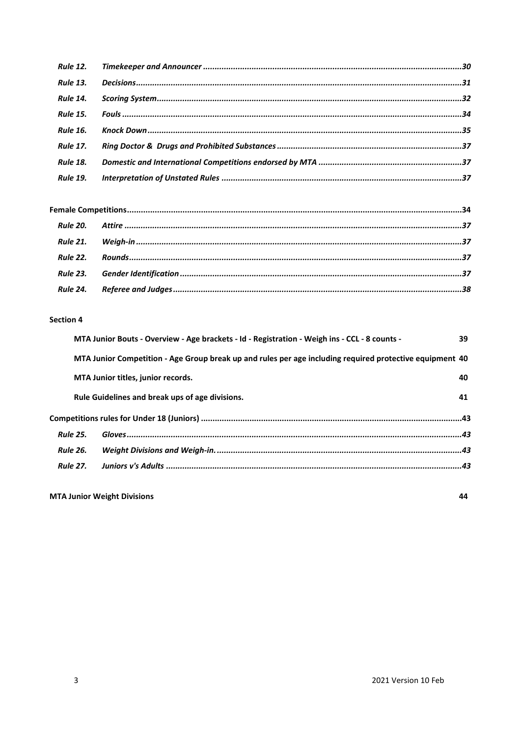| <b>Rule 13.</b> |  |
|-----------------|--|
| <b>Rule 14.</b> |  |
| <b>Rule 15.</b> |  |
| <b>Rule 16.</b> |  |
| <b>Rule 17.</b> |  |
| <b>Rule 18.</b> |  |
| <b>Rule 19.</b> |  |

#### **Section 4**

|                 |                 | MTA Junior Bouts - Overview - Age brackets - Id - Registration - Weigh ins - CCL - 8 counts -            | 39 |
|-----------------|-----------------|----------------------------------------------------------------------------------------------------------|----|
|                 |                 | MTA Junior Competition - Age Group break up and rules per age including required protective equipment 40 |    |
|                 |                 | MTA Junior titles, junior records.                                                                       | 40 |
|                 |                 | Rule Guidelines and break ups of age divisions.                                                          | 41 |
|                 |                 |                                                                                                          |    |
| <b>Rule 25.</b> |                 |                                                                                                          |    |
| <b>Rule 26.</b> |                 |                                                                                                          |    |
|                 | <b>Rule 27.</b> |                                                                                                          |    |
|                 |                 |                                                                                                          |    |

**MTA Junior Weight Divisions**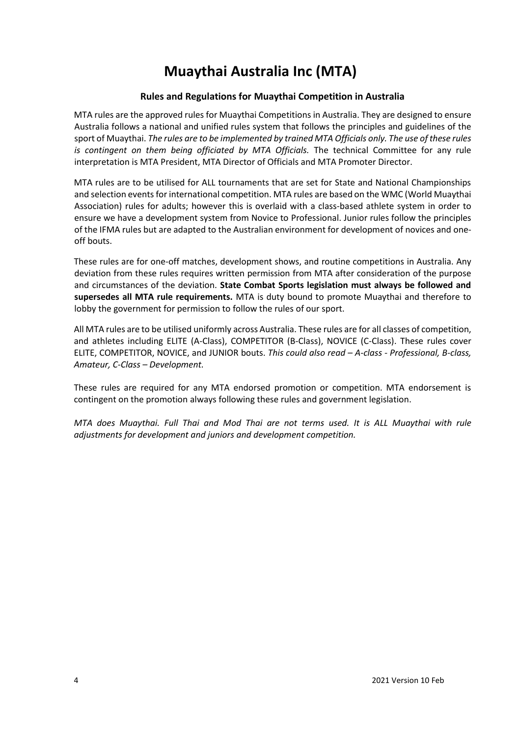# **Muaythai Australia Inc (MTA)**

# **Rules and Regulations for Muaythai Competition in Australia**

MTA rules are the approved rules for Muaythai Competitions in Australia. They are designed to ensure Australia follows a national and unified rules system that follows the principles and guidelines of the sport of Muaythai. *The rules are to be implemented by trained MTA Officials only. The use of these rules is contingent on them being officiated by MTA Officials.* The technical Committee for any rule interpretation is MTA President, MTA Director of Officials and MTA Promoter Director.

MTA rules are to be utilised for ALL tournaments that are set for State and National Championships and selection events for international competition. MTA rules are based on the WMC (World Muaythai Association) rules for adults; however this is overlaid with a class-based athlete system in order to ensure we have a development system from Novice to Professional. Junior rules follow the principles of the IFMA rules but are adapted to the Australian environment for development of novices and oneoff bouts.

These rules are for one-off matches, development shows, and routine competitions in Australia. Any deviation from these rules requires written permission from MTA after consideration of the purpose and circumstances of the deviation. **State Combat Sports legislation must always be followed and supersedes all MTA rule requirements.** MTA is duty bound to promote Muaythai and therefore to lobby the government for permission to follow the rules of our sport.

All MTA rules are to be utilised uniformly across Australia. These rules are for all classes of competition, and athletes including ELITE (A-Class), COMPETITOR (B-Class), NOVICE (C-Class). These rules cover ELITE, COMPETITOR, NOVICE, and JUNIOR bouts. *This could also read – A-class - Professional, B-class, Amateur, C-Class – Development.*

These rules are required for any MTA endorsed promotion or competition. MTA endorsement is contingent on the promotion always following these rules and government legislation.

*MTA does Muaythai. Full Thai and Mod Thai are not terms used. It is ALL Muaythai with rule adjustments for development and juniors and development competition.*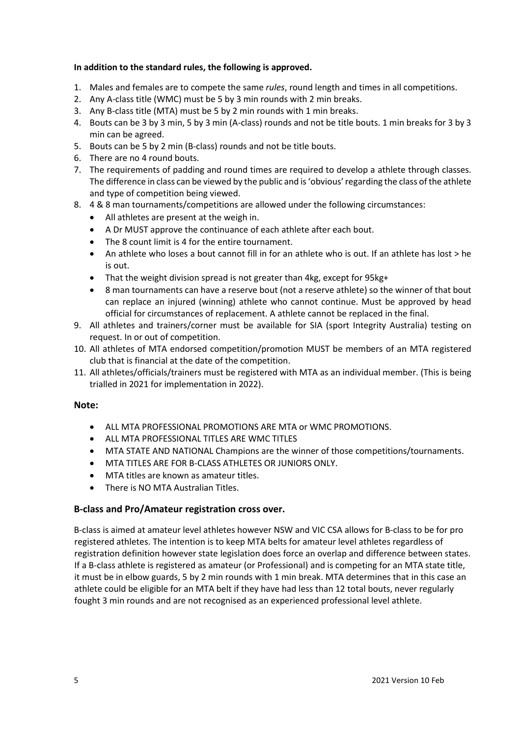# **In addition to the standard rules, the following is approved.**

- 1. Males and females are to compete the same *rules*, round length and times in all competitions.
- 2. Any A-class title (WMC) must be 5 by 3 min rounds with 2 min breaks.
- 3. Any B-class title (MTA) must be 5 by 2 min rounds with 1 min breaks.
- 4. Bouts can be 3 by 3 min, 5 by 3 min (A-class) rounds and not be title bouts. 1 min breaks for 3 by 3 min can be agreed.
- 5. Bouts can be 5 by 2 min (B-class) rounds and not be title bouts.
- 6. There are no 4 round bouts.
- 7. The requirements of padding and round times are required to develop a athlete through classes. The difference in class can be viewed by the public and is 'obvious'regarding the class of the athlete and type of competition being viewed.
- 8. 4 & 8 man tournaments/competitions are allowed under the following circumstances:
	- All athletes are present at the weigh in.
	- A Dr MUST approve the continuance of each athlete after each bout.
	- The 8 count limit is 4 for the entire tournament.
	- An athlete who loses a bout cannot fill in for an athlete who is out. If an athlete has lost > he is out.
	- That the weight division spread is not greater than 4kg, except for 95kg+
	- 8 man tournaments can have a reserve bout (not a reserve athlete) so the winner of that bout can replace an injured (winning) athlete who cannot continue. Must be approved by head official for circumstances of replacement. A athlete cannot be replaced in the final.
- 9. All athletes and trainers/corner must be available for SIA (sport Integrity Australia) testing on request. In or out of competition.
- 10. All athletes of MTA endorsed competition/promotion MUST be members of an MTA registered club that is financial at the date of the competition.
- 11. All athletes/officials/trainers must be registered with MTA as an individual member. (This is being trialled in 2021 for implementation in 2022).

# **Note:**

- ALL MTA PROFESSIONAL PROMOTIONS ARE MTA or WMC PROMOTIONS.
- ALL MTA PROFESSIONAL TITLES ARE WMC TITLES
- MTA STATE AND NATIONAL Champions are the winner of those competitions/tournaments.
- MTA TITLES ARE FOR B-CLASS ATHLETES OR JUNIORS ONLY.
- MTA titles are known as amateur titles.
- There is NO MTA Australian Titles.

# **B-class and Pro/Amateur registration cross over.**

B-class is aimed at amateur level athletes however NSW and VIC CSA allows for B-class to be for pro registered athletes. The intention is to keep MTA belts for amateur level athletes regardless of registration definition however state legislation does force an overlap and difference between states. If a B-class athlete is registered as amateur (or Professional) and is competing for an MTA state title, it must be in elbow guards, 5 by 2 min rounds with 1 min break. MTA determines that in this case an athlete could be eligible for an MTA belt if they have had less than 12 total bouts, never regularly fought 3 min rounds and are not recognised as an experienced professional level athlete.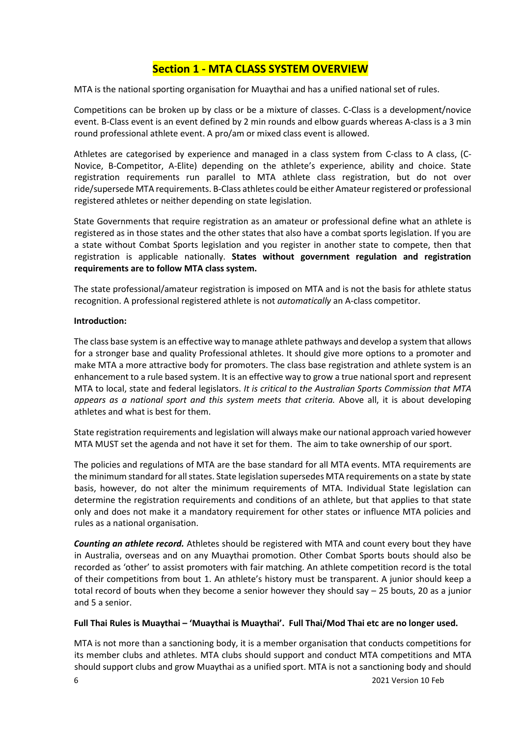# **Section 1 - MTA CLASS SYSTEM OVERVIEW**

MTA is the national sporting organisation for Muaythai and has a unified national set of rules.

Competitions can be broken up by class or be a mixture of classes. C-Class is a development/novice event. B-Class event is an event defined by 2 min rounds and elbow guards whereas A-class is a 3 min round professional athlete event. A pro/am or mixed class event is allowed.

Athletes are categorised by experience and managed in a class system from C-class to A class, (C-Novice, B-Competitor, A-Elite) depending on the athlete's experience, ability and choice. State registration requirements run parallel to MTA athlete class registration, but do not over ride/supersede MTA requirements. B-Class athletes could be either Amateur registered or professional registered athletes or neither depending on state legislation.

State Governments that require registration as an amateur or professional define what an athlete is registered as in those states and the other states that also have a combat sports legislation. If you are a state without Combat Sports legislation and you register in another state to compete, then that registration is applicable nationally. **States without government regulation and registration requirements are to follow MTA class system.**

The state professional/amateur registration is imposed on MTA and is not the basis for athlete status recognition. A professional registered athlete is not *automatically* an A-class competitor.

#### **Introduction:**

The class base system is an effective way to manage athlete pathways and develop a system that allows for a stronger base and quality Professional athletes. It should give more options to a promoter and make MTA a more attractive body for promoters. The class base registration and athlete system is an enhancement to a rule based system. It is an effective way to grow a true national sport and represent MTA to local, state and federal legislators. *It is critical to the Australian Sports Commission that MTA appears as a national sport and this system meets that criteria.* Above all, it is about developing athletes and what is best for them.

State registration requirements and legislation will always make our national approach varied however MTA MUST set the agenda and not have it set for them. The aim to take ownership of our sport.

The policies and regulations of MTA are the base standard for all MTA events. MTA requirements are the minimum standard for all states. State legislation supersedes MTA requirements on a state by state basis, however, do not alter the minimum requirements of MTA. Individual State legislation can determine the registration requirements and conditions of an athlete, but that applies to that state only and does not make it a mandatory requirement for other states or influence MTA policies and rules as a national organisation.

*Counting an athlete record.* Athletes should be registered with MTA and count every bout they have in Australia, overseas and on any Muaythai promotion. Other Combat Sports bouts should also be recorded as 'other' to assist promoters with fair matching. An athlete competition record is the total of their competitions from bout 1. An athlete's history must be transparent. A junior should keep a total record of bouts when they become a senior however they should say – 25 bouts, 20 as a junior and 5 a senior.

#### **Full Thai Rules is Muaythai – 'Muaythai is Muaythai'. Full Thai/Mod Thai etc are no longer used.**

MTA is not more than a sanctioning body, it is a member organisation that conducts competitions for its member clubs and athletes. MTA clubs should support and conduct MTA competitions and MTA should support clubs and grow Muaythai as a unified sport. MTA is not a sanctioning body and should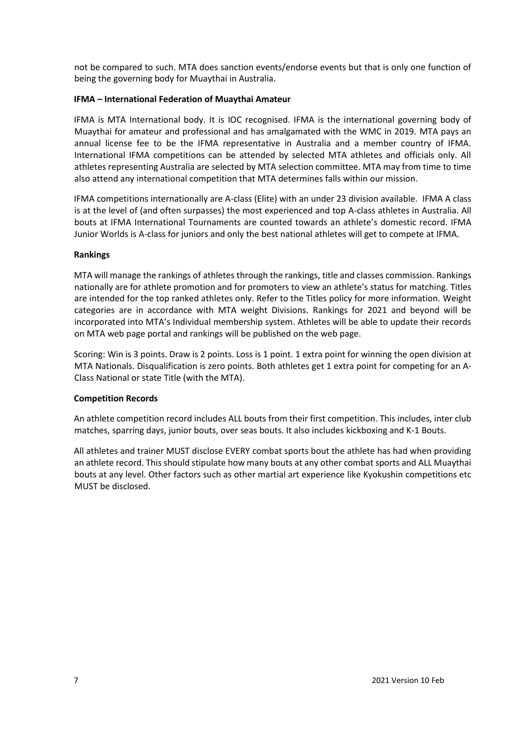not be compared to such. MTA does sanction events/endorse events but that is only one function of being the governing body for Muaythai in Australia.

# **IFMA – International Federation of Muaythai Amateur**

IFMA is MTA International body. It is IOC recognised. IFMA is the international governing body of Muaythai for amateur and professional and has amalgamated with the WMC in 2019. MTA pays an annual license fee to be the IFMA representative in Australia and a member country of IFMA. International IFMA competitions can be attended by selected MTA athletes and officials only. All athletes representing Australia are selected by MTA selection committee. MTA may from time to time also attend any international competition that MTA determines falls within our mission.

IFMA competitions internationally are A-class (Elite) with an under 23 division available. IFMA A class is at the level of (and often surpasses) the most experienced and top A-class athletes in Australia. All bouts at IFMA International Tournaments are counted towards an athlete's domestic record. IFMA Junior Worlds is A-class for juniors and only the best national athletes will get to compete at IFMA.

# **Rankings**

MTA will manage the rankings of athletes through the rankings, title and classes commission. Rankings nationally are for athlete promotion and for promoters to view an athlete's status for matching. Titles are intended for the top ranked athletes only. Refer to the Titles policy for more information. Weight categories are in accordance with MTA weight Divisions. Rankings for 2021 and beyond will be incorporated into MTA's Individual membership system. Athletes will be able to update their records on MTA web page portal and rankings will be published on the web page.

Scoring: Win is 3 points. Draw is 2 points. Loss is 1 point. 1 extra point for winning the open division at MTA Nationals. Disqualification is zero points. Both athletes get 1 extra point for competing for an A-Class National or state Title (with the MTA).

#### **Competition Records**

An athlete competition record includes ALL bouts from their first competition. This includes, inter club matches, sparring days, junior bouts, over seas bouts. It also includes kickboxing and K-1 Bouts.

All athletes and trainer MUST disclose EVERY combat sports bout the athlete has had when providing an athlete record. This should stipulate how many bouts at any other combat sports and ALL Muaythai bouts at any level. Other factors such as other martial art experience like Kyokushin competitions etc MUST be disclosed.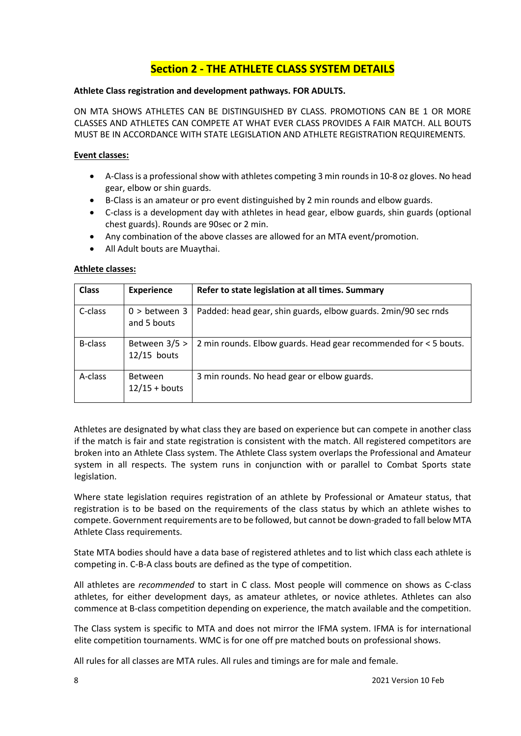# **Section 2 - THE ATHLETE CLASS SYSTEM DETAILS**

### **Athlete Class registration and development pathways. FOR ADULTS.**

ON MTA SHOWS ATHLETES CAN BE DISTINGUISHED BY CLASS. PROMOTIONS CAN BE 1 OR MORE CLASSES AND ATHLETES CAN COMPETE AT WHAT EVER CLASS PROVIDES A FAIR MATCH. ALL BOUTS MUST BE IN ACCORDANCE WITH STATE LEGISLATION AND ATHLETE REGISTRATION REQUIREMENTS.

### **Event classes:**

- A-Class is a professional show with athletes competing 3 min rounds in 10-8 oz gloves. No head gear, elbow or shin guards.
- B-Class is an amateur or pro event distinguished by 2 min rounds and elbow guards.
- C-class is a development day with athletes in head gear, elbow guards, shin guards (optional chest guards). Rounds are 90sec or 2 min.
- Any combination of the above classes are allowed for an MTA event/promotion.
- All Adult bouts are Muaythai.

# **Athlete classes:**

| <b>Class</b>   | <b>Experience</b>                 | Refer to state legislation at all times. Summary                 |
|----------------|-----------------------------------|------------------------------------------------------------------|
| C-class        | $0 >$ between 3<br>and 5 bouts    | Padded: head gear, shin guards, elbow guards. 2min/90 sec rnds   |
| <b>B-class</b> | Between 3/5 ><br>$12/15$ bouts    | 2 min rounds. Elbow guards. Head gear recommended for < 5 bouts. |
| A-class        | <b>Between</b><br>$12/15 +$ bouts | 3 min rounds. No head gear or elbow guards.                      |

Athletes are designated by what class they are based on experience but can compete in another class if the match is fair and state registration is consistent with the match. All registered competitors are broken into an Athlete Class system. The Athlete Class system overlaps the Professional and Amateur system in all respects. The system runs in conjunction with or parallel to Combat Sports state legislation.

Where state legislation requires registration of an athlete by Professional or Amateur status, that registration is to be based on the requirements of the class status by which an athlete wishes to compete. Government requirements are to be followed, but cannot be down-graded to fall below MTA Athlete Class requirements.

State MTA bodies should have a data base of registered athletes and to list which class each athlete is competing in. C-B-A class bouts are defined as the type of competition.

All athletes are *recommended* to start in C class. Most people will commence on shows as C-class athletes, for either development days, as amateur athletes, or novice athletes. Athletes can also commence at B-class competition depending on experience, the match available and the competition.

The Class system is specific to MTA and does not mirror the IFMA system. IFMA is for international elite competition tournaments. WMC is for one off pre matched bouts on professional shows.

All rules for all classes are MTA rules. All rules and timings are for male and female.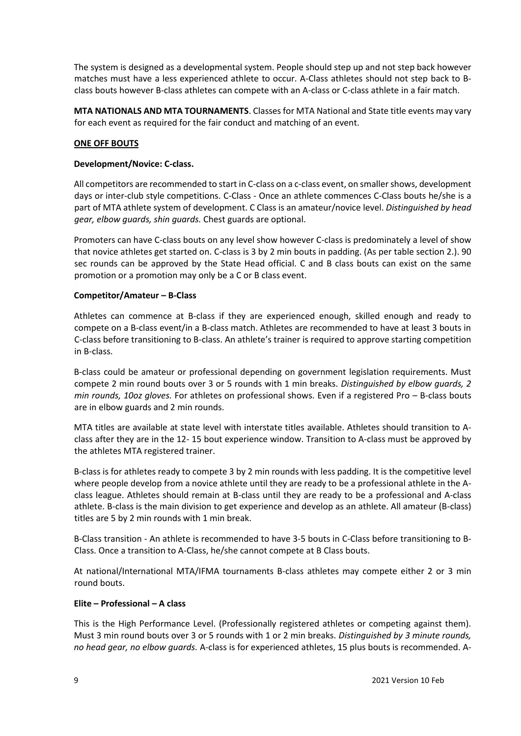The system is designed as a developmental system. People should step up and not step back however matches must have a less experienced athlete to occur. A-Class athletes should not step back to Bclass bouts however B-class athletes can compete with an A-class or C-class athlete in a fair match.

**MTA NATIONALS AND MTA TOURNAMENTS**. Classes for MTA National and State title events may vary for each event as required for the fair conduct and matching of an event.

# **ONE OFF BOUTS**

#### **Development/Novice: C-class.**

All competitors are recommended to start in C-class on a c-class event, on smaller shows, development days or inter-club style competitions. C-Class - Once an athlete commences C-Class bouts he/she is a part of MTA athlete system of development. C Class is an amateur/novice level. *Distinguished by head gear, elbow guards, shin guards.* Chest guards are optional.

Promoters can have C-class bouts on any level show however C-class is predominately a level of show that novice athletes get started on. C-class is 3 by 2 min bouts in padding. (As per table section 2.). 90 sec rounds can be approved by the State Head official. C and B class bouts can exist on the same promotion or a promotion may only be a C or B class event.

#### **Competitor/Amateur – B-Class**

Athletes can commence at B-class if they are experienced enough, skilled enough and ready to compete on a B-class event/in a B-class match. Athletes are recommended to have at least 3 bouts in C-class before transitioning to B-class. An athlete's trainer is required to approve starting competition in B-class.

B-class could be amateur or professional depending on government legislation requirements. Must compete 2 min round bouts over 3 or 5 rounds with 1 min breaks. *Distinguished by elbow guards, 2 min rounds, 10oz gloves.* For athletes on professional shows. Even if a registered Pro – B-class bouts are in elbow guards and 2 min rounds.

MTA titles are available at state level with interstate titles available. Athletes should transition to Aclass after they are in the 12- 15 bout experience window. Transition to A-class must be approved by the athletes MTA registered trainer.

B-class is for athletes ready to compete 3 by 2 min rounds with less padding. It is the competitive level where people develop from a novice athlete until they are ready to be a professional athlete in the Aclass league. Athletes should remain at B-class until they are ready to be a professional and A-class athlete. B-class is the main division to get experience and develop as an athlete. All amateur (B-class) titles are 5 by 2 min rounds with 1 min break.

B-Class transition - An athlete is recommended to have 3-5 bouts in C-Class before transitioning to B-Class. Once a transition to A-Class, he/she cannot compete at B Class bouts.

At national/International MTA/IFMA tournaments B-class athletes may compete either 2 or 3 min round bouts.

#### **Elite – Professional – A class**

This is the High Performance Level. (Professionally registered athletes or competing against them). Must 3 min round bouts over 3 or 5 rounds with 1 or 2 min breaks. *Distinguished by 3 minute rounds, no head gear, no elbow guards.* A-class is for experienced athletes, 15 plus bouts is recommended. A-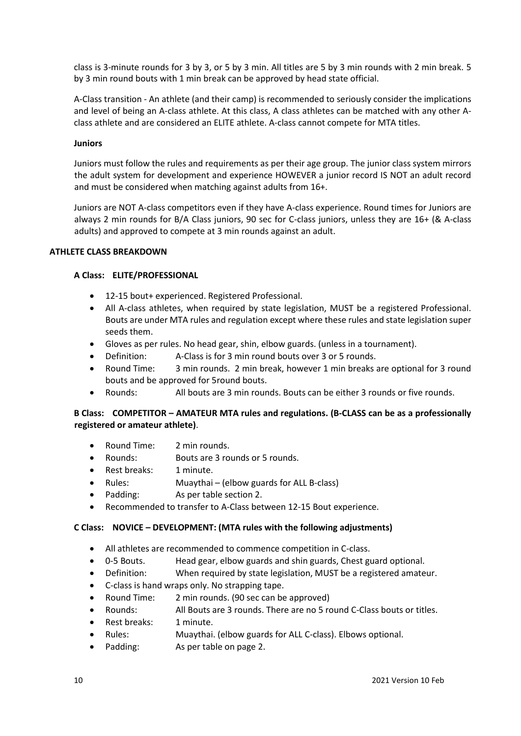class is 3-minute rounds for 3 by 3, or 5 by 3 min. All titles are 5 by 3 min rounds with 2 min break. 5 by 3 min round bouts with 1 min break can be approved by head state official.

A-Class transition - An athlete (and their camp) is recommended to seriously consider the implications and level of being an A-class athlete. At this class, A class athletes can be matched with any other Aclass athlete and are considered an ELITE athlete. A-class cannot compete for MTA titles.

#### **Juniors**

Juniors must follow the rules and requirements as per their age group. The junior class system mirrors the adult system for development and experience HOWEVER a junior record IS NOT an adult record and must be considered when matching against adults from 16+.

Juniors are NOT A-class competitors even if they have A-class experience. Round times for Juniors are always 2 min rounds for B/A Class juniors, 90 sec for C-class juniors, unless they are 16+ (& A-class adults) and approved to compete at 3 min rounds against an adult.

#### **ATHLETE CLASS BREAKDOWN**

#### **A Class: ELITE/PROFESSIONAL**

- 12-15 bout+ experienced. Registered Professional.
- All A-class athletes, when required by state legislation, MUST be a registered Professional. Bouts are under MTA rules and regulation except where these rules and state legislation super seeds them.
- Gloves as per rules. No head gear, shin, elbow guards. (unless in a tournament).
- Definition: A-Class is for 3 min round bouts over 3 or 5 rounds.
- Round Time: 3 min rounds. 2 min break, however 1 min breaks are optional for 3 round bouts and be approved for 5round bouts.
- Rounds: All bouts are 3 min rounds. Bouts can be either 3 rounds or five rounds.

# **B Class: COMPETITOR – AMATEUR MTA rules and regulations. (B-CLASS can be as a professionally registered or amateur athlete)**.

- Round Time: 2 min rounds.
- Rounds: Bouts are 3 rounds or 5 rounds.
- Rest breaks: 1 minute.
- Rules: Muaythai (elbow guards for ALL B-class)
- Padding: As per table section 2.
- Recommended to transfer to A-Class between 12-15 Bout experience.

#### **C Class: NOVICE – DEVELOPMENT: (MTA rules with the following adjustments)**

- All athletes are recommended to commence competition in C-class.
- 0-5 Bouts. Head gear, elbow guards and shin guards, Chest guard optional.
- Definition: When required by state legislation, MUST be a registered amateur.
- C-class is hand wraps only. No strapping tape.
- Round Time: 2 min rounds. (90 sec can be approved)
- Rounds: All Bouts are 3 rounds. There are no 5 round C-Class bouts or titles.
- Rest breaks: 1 minute.
- Rules: Muaythai. (elbow guards for ALL C-class). Elbows optional.
- Padding: As per table on page 2.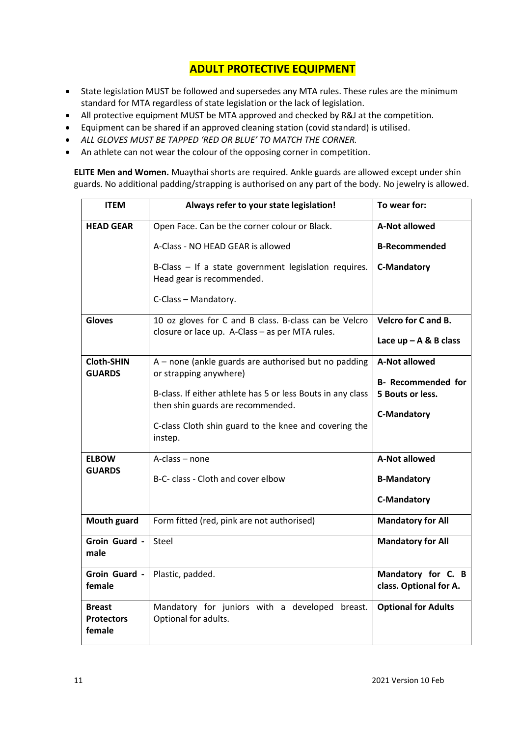# **ADULT PROTECTIVE EQUIPMENT**

- State legislation MUST be followed and supersedes any MTA rules. These rules are the minimum standard for MTA regardless of state legislation or the lack of legislation.
- All protective equipment MUST be MTA approved and checked by R&J at the competition.
- Equipment can be shared if an approved cleaning station (covid standard) is utilised.
- *ALL GLOVES MUST BE TAPPED 'RED OR BLUE' TO MATCH THE CORNER.*
- An athlete can not wear the colour of the opposing corner in competition.

**ELITE Men and Women.** Muaythai shorts are required. Ankle guards are allowed except under shin guards. No additional padding/strapping is authorised on any part of the body. No jewelry is allowed.

| <b>ITEM</b>                                  | To wear for:<br>Always refer to your state legislation!                                                  |                                               |
|----------------------------------------------|----------------------------------------------------------------------------------------------------------|-----------------------------------------------|
| <b>HEAD GEAR</b>                             | Open Face. Can be the corner colour or Black.                                                            | <b>A-Not allowed</b>                          |
|                                              | A-Class - NO HEAD GEAR is allowed                                                                        | <b>B-Recommended</b>                          |
|                                              | B-Class - If a state government legislation requires.<br>Head gear is recommended.                       | <b>C-Mandatory</b>                            |
|                                              | C-Class - Mandatory.                                                                                     |                                               |
| <b>Gloves</b>                                | 10 oz gloves for C and B class. B-class can be Velcro<br>closure or lace up. A-Class - as per MTA rules. | <b>Velcro for C and B.</b>                    |
|                                              |                                                                                                          | Lace $up - A & B$ class                       |
| <b>Cloth-SHIN</b><br><b>GUARDS</b>           | A - none (ankle guards are authorised but no padding<br>or strapping anywhere)                           | <b>A-Not allowed</b>                          |
|                                              | B-class. If either athlete has 5 or less Bouts in any class<br>then shin guards are recommended.         | <b>B- Recommended for</b><br>5 Bouts or less. |
|                                              |                                                                                                          | <b>C-Mandatory</b>                            |
|                                              | C-class Cloth shin guard to the knee and covering the<br>instep.                                         |                                               |
| <b>ELBOW</b>                                 | A-class – none                                                                                           | A-Not allowed                                 |
| <b>GUARDS</b>                                | B-C- class - Cloth and cover elbow                                                                       | <b>B-Mandatory</b>                            |
|                                              |                                                                                                          | <b>C-Mandatory</b>                            |
| <b>Mouth guard</b>                           | Form fitted (red, pink are not authorised)                                                               | <b>Mandatory for All</b>                      |
| Groin Guard -<br>male                        | Steel                                                                                                    | <b>Mandatory for All</b>                      |
| Groin Guard -<br>female                      | Plastic, padded.                                                                                         | Mandatory for C. B<br>class. Optional for A.  |
| <b>Breast</b><br><b>Protectors</b><br>female | Mandatory for juniors with a developed breast.<br>Optional for adults.                                   | <b>Optional for Adults</b>                    |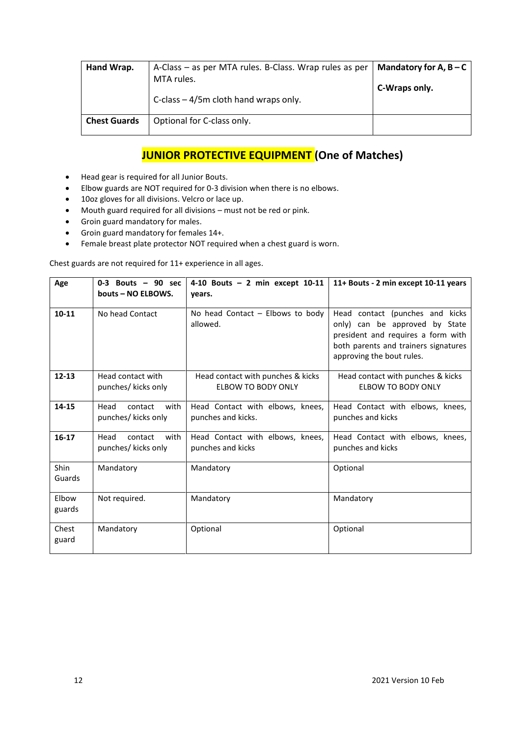| Hand Wrap.          | A-Class – as per MTA rules. B-Class. Wrap rules as per | Mandatory for A, $B - C$ |  |
|---------------------|--------------------------------------------------------|--------------------------|--|
|                     | MTA rules.                                             | C-Wraps only.            |  |
|                     | C-class $-4/5$ m cloth hand wraps only.                |                          |  |
| <b>Chest Guards</b> | Optional for C-class only.                             |                          |  |

# **JUNIOR PROTECTIVE EQUIPMENT (One of Matches)**

- Head gear is required for all Junior Bouts.
- Elbow guards are NOT required for 0-3 division when there is no elbows.
- 10oz gloves for all divisions. Velcro or lace up.
- Mouth guard required for all divisions must not be red or pink.
- Groin guard mandatory for males.
- Groin guard mandatory for females 14+.
- Female breast plate protector NOT required when a chest guard is worn.

Chest guards are not required for 11+ experience in all ages.

| Age             | $0-3$ Bouts $-90$ sec<br>bouts - NO ELBOWS.    | 4-10 Bouts $-2$ min except 10-11<br>years.                     | 11+ Bouts - 2 min except 10-11 years                                                                                                                                         |
|-----------------|------------------------------------------------|----------------------------------------------------------------|------------------------------------------------------------------------------------------------------------------------------------------------------------------------------|
| $10 - 11$       | No head Contact                                | No head Contact - Elbows to body<br>allowed.                   | Head contact (punches and kicks<br>only) can be approved by State<br>president and requires a form with<br>both parents and trainers signatures<br>approving the bout rules. |
| $12 - 13$       | Head contact with<br>punches/ kicks only       | Head contact with punches & kicks<br><b>ELBOW TO BODY ONLY</b> | Head contact with punches & kicks<br><b>ELBOW TO BODY ONLY</b>                                                                                                               |
| 14-15           | Head<br>contact<br>with<br>punches/ kicks only | Head Contact with elbows, knees,<br>punches and kicks.         | Head Contact with elbows, knees,<br>punches and kicks                                                                                                                        |
| $16-17$         | Head<br>contact<br>with<br>punches/ kicks only | Head Contact with elbows, knees,<br>punches and kicks          | Head Contact with elbows, knees,<br>punches and kicks                                                                                                                        |
| Shin<br>Guards  | Mandatory                                      | Mandatory                                                      | Optional                                                                                                                                                                     |
| Elbow<br>guards | Not required.                                  | Mandatory                                                      | Mandatory                                                                                                                                                                    |
| Chest<br>guard  | Mandatory                                      | Optional                                                       | Optional                                                                                                                                                                     |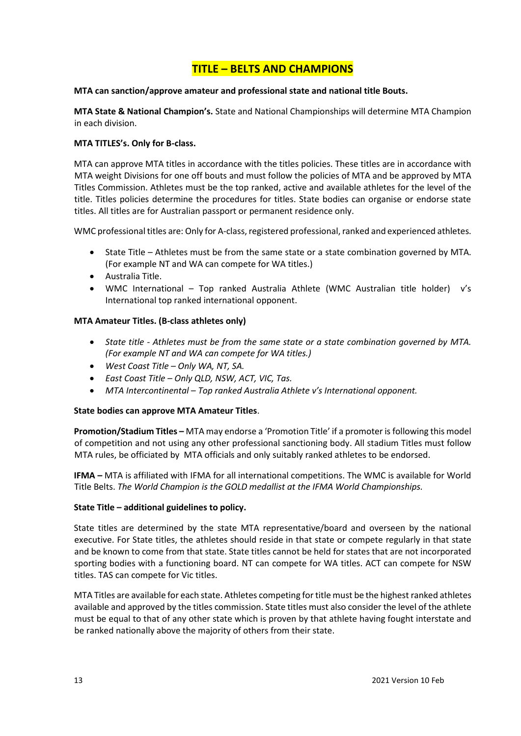# **TITLE – BELTS AND CHAMPIONS**

### **MTA can sanction/approve amateur and professional state and national title Bouts.**

**MTA State & National Champion's.** State and National Championships will determine MTA Champion in each division.

# **MTA TITLES's. Only for B-class.**

MTA can approve MTA titles in accordance with the titles policies. These titles are in accordance with MTA weight Divisions for one off bouts and must follow the policies of MTA and be approved by MTA Titles Commission. Athletes must be the top ranked, active and available athletes for the level of the title. Titles policies determine the procedures for titles. State bodies can organise or endorse state titles. All titles are for Australian passport or permanent residence only.

WMC professional titles are: Only for A-class, registered professional, ranked and experienced athletes.

- State Title Athletes must be from the same state or a state combination governed by MTA. (For example NT and WA can compete for WA titles.)
- Australia Title.
- WMC International Top ranked Australia Athlete (WMC Australian title holder) v's International top ranked international opponent.

# **MTA Amateur Titles. (B-class athletes only)**

- *State title - Athletes must be from the same state or a state combination governed by MTA. (For example NT and WA can compete for WA titles.)*
- *West Coast Title – Only WA, NT, SA.*
- *East Coast Title – Only QLD, NSW, ACT, VIC, Tas.*
- *MTA Intercontinental – Top ranked Australia Athlete v's International opponent.*

#### **State bodies can approve MTA Amateur Titles**.

**Promotion/Stadium Titles –** MTA may endorse a 'Promotion Title' if a promoter is following this model of competition and not using any other professional sanctioning body. All stadium Titles must follow MTA rules, be officiated by MTA officials and only suitably ranked athletes to be endorsed.

**IFMA –** MTA is affiliated with IFMA for all international competitions. The WMC is available for World Title Belts. *The World Champion is the GOLD medallist at the IFMA World Championships.*

#### **State Title – additional guidelines to policy.**

State titles are determined by the state MTA representative/board and overseen by the national executive. For State titles, the athletes should reside in that state or compete regularly in that state and be known to come from that state. State titles cannot be held for states that are not incorporated sporting bodies with a functioning board. NT can compete for WA titles. ACT can compete for NSW titles. TAS can compete for Vic titles.

MTA Titles are available for each state. Athletes competing for title must be the highest ranked athletes available and approved by the titles commission. State titles must also consider the level of the athlete must be equal to that of any other state which is proven by that athlete having fought interstate and be ranked nationally above the majority of others from their state.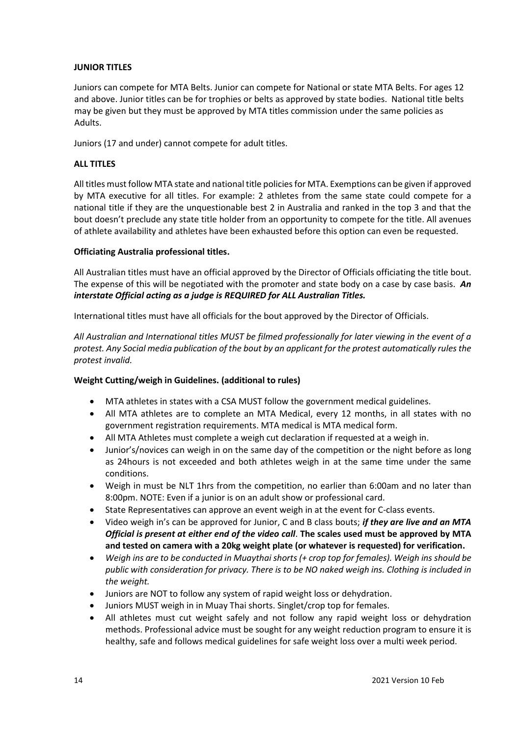### **JUNIOR TITLES**

Juniors can compete for MTA Belts. Junior can compete for National or state MTA Belts. For ages 12 and above. Junior titles can be for trophies or belts as approved by state bodies. National title belts may be given but they must be approved by MTA titles commission under the same policies as Adults.

Juniors (17 and under) cannot compete for adult titles.

#### **ALL TITLES**

All titles must follow MTA state and national title policies for MTA. Exemptions can be given if approved by MTA executive for all titles. For example: 2 athletes from the same state could compete for a national title if they are the unquestionable best 2 in Australia and ranked in the top 3 and that the bout doesn't preclude any state title holder from an opportunity to compete for the title. All avenues of athlete availability and athletes have been exhausted before this option can even be requested.

#### **Officiating Australia professional titles.**

All Australian titles must have an official approved by the Director of Officials officiating the title bout. The expense of this will be negotiated with the promoter and state body on a case by case basis. *An interstate Official acting as a judge is REQUIRED for ALL Australian Titles.* 

International titles must have all officials for the bout approved by the Director of Officials.

*All Australian and International titles MUST be filmed professionally for later viewing in the event of a protest. Any Social media publication of the bout by an applicant for the protest automatically rules the protest invalid.* 

#### **Weight Cutting/weigh in Guidelines. (additional to rules)**

- MTA athletes in states with a CSA MUST follow the government medical guidelines.
- All MTA athletes are to complete an MTA Medical, every 12 months, in all states with no government registration requirements. MTA medical is MTA medical form.
- All MTA Athletes must complete a weigh cut declaration if requested at a weigh in.
- Junior's/novices can weigh in on the same day of the competition or the night before as long as 24hours is not exceeded and both athletes weigh in at the same time under the same conditions.
- Weigh in must be NLT 1hrs from the competition, no earlier than 6:00am and no later than 8:00pm. NOTE: Even if a junior is on an adult show or professional card.
- State Representatives can approve an event weigh in at the event for C-class events.
- Video weigh in's can be approved for Junior, C and B class bouts; *if they are live and an MTA Official is present at either end of the video call*. **The scales used must be approved by MTA and tested on camera with a 20kg weight plate (or whatever is requested) for verification.**
- *Weigh ins are to be conducted in Muaythai shorts (+ crop top for females). Weigh ins should be public with consideration for privacy. There is to be NO naked weigh ins. Clothing is included in the weight.*
- Juniors are NOT to follow any system of rapid weight loss or dehydration.
- Juniors MUST weigh in in Muay Thai shorts. Singlet/crop top for females.
- All athletes must cut weight safely and not follow any rapid weight loss or dehydration methods. Professional advice must be sought for any weight reduction program to ensure it is healthy, safe and follows medical guidelines for safe weight loss over a multi week period.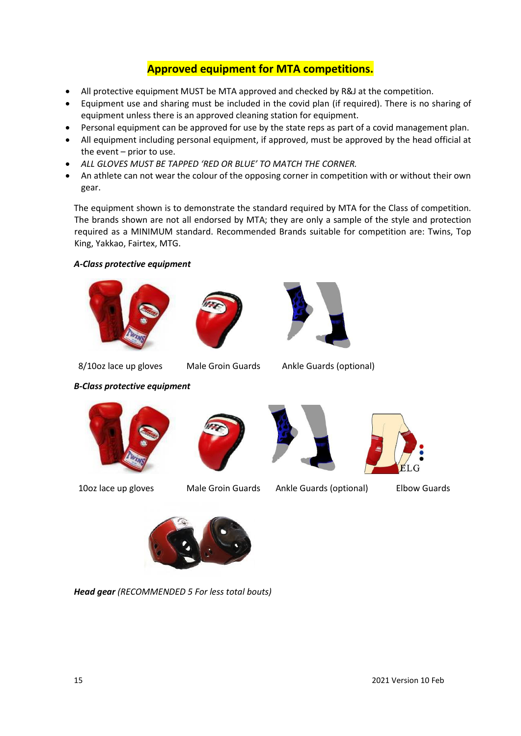# **Approved equipment for MTA competitions.**

- All protective equipment MUST be MTA approved and checked by R&J at the competition.
- Equipment use and sharing must be included in the covid plan (if required). There is no sharing of equipment unless there is an approved cleaning station for equipment.
- Personal equipment can be approved for use by the state reps as part of a covid management plan.
- All equipment including personal equipment, if approved, must be approved by the head official at the event – prior to use.
- *ALL GLOVES MUST BE TAPPED 'RED OR BLUE' TO MATCH THE CORNER.*
- An athlete can not wear the colour of the opposing corner in competition with or without their own gear.

The equipment shown is to demonstrate the standard required by MTA for the Class of competition. The brands shown are not all endorsed by MTA; they are only a sample of the style and protection required as a MINIMUM standard. Recommended Brands suitable for competition are: Twins, Top King, Yakkao, Fairtex, MTG.

# *A-Class protective equipment*







8/10oz lace up gloves Male Groin Guards Ankle Guards (optional)

*B-Class protective equipment*









10oz lace up gloves Male Groin Guards Ankle Guards (optional) Elbow Guards



*Head gear (RECOMMENDED 5 For less total bouts)*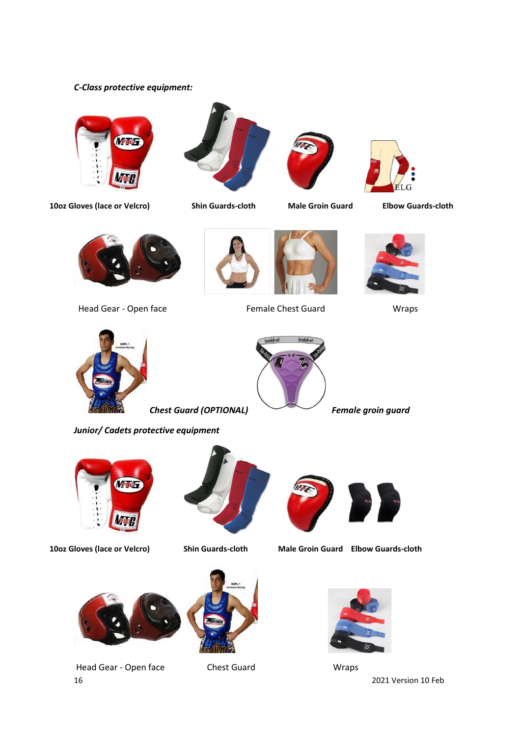# *C-Class protective equipment:*













Head Gear - Open face Female Chest Guard Wraps









*Chest Guard (OPTIONAL) Female groin guard*













**10oz Gloves (lace or Velcro) Shin Guards-cloth Male Groin Guard Elbow Guards-cloth**



16 2021 Version 10 Feb Head Gear - Open face Chest Guard Chest Guard Wraps

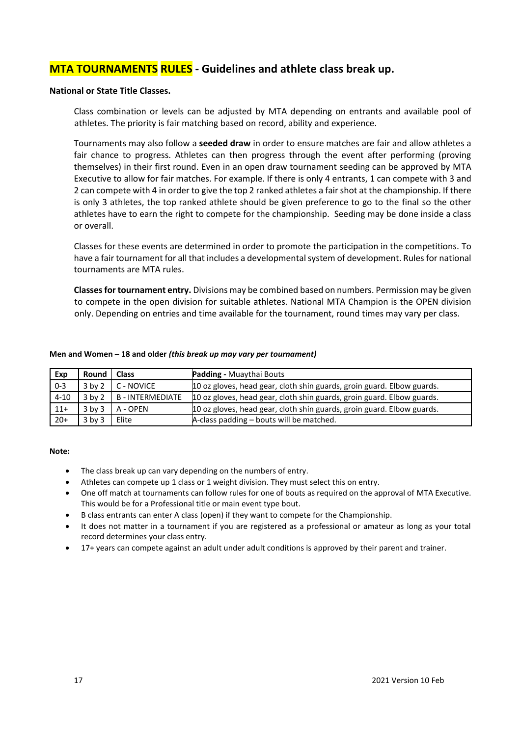# **MTA TOURNAMENTS RULES - Guidelines and athlete class break up.**

#### **National or State Title Classes.**

Class combination or levels can be adjusted by MTA depending on entrants and available pool of athletes. The priority is fair matching based on record, ability and experience.

Tournaments may also follow a **seeded draw** in order to ensure matches are fair and allow athletes a fair chance to progress. Athletes can then progress through the event after performing (proving themselves) in their first round. Even in an open draw tournament seeding can be approved by MTA Executive to allow for fair matches. For example. If there is only 4 entrants, 1 can compete with 3 and 2 can compete with 4 in order to give the top 2 ranked athletes a fair shot at the championship. If there is only 3 athletes, the top ranked athlete should be given preference to go to the final so the other athletes have to earn the right to compete for the championship. Seeding may be done inside a class or overall.

Classes for these events are determined in order to promote the participation in the competitions. To have a fair tournament for all that includes a developmental system of development. Rules for national tournaments are MTA rules.

**Classes for tournament entry.** Divisions may be combined based on numbers. Permission may be given to compete in the open division for suitable athletes. National MTA Champion is the OPEN division only. Depending on entries and time available for the tournament, round times may vary per class.

| Exp      | Round   Class |                           | <b>Padding - Muaythai Bouts</b>                                        |
|----------|---------------|---------------------------|------------------------------------------------------------------------|
| $0 - 3$  | $3$ by $2$    | C - NOVICE                | 10 oz gloves, head gear, cloth shin guards, groin guard. Elbow guards. |
| $4 - 10$ |               | 3 by 2   B - INTERMEDIATE | 10 oz gloves, head gear, cloth shin guards, groin guard. Elbow guards. |
| $11+$    | $3$ by $3$    | A - OPEN                  | 10 oz gloves, head gear, cloth shin guards, groin guard. Elbow guards. |
| $20+$    | $3$ by $3$    | Elite                     | A-class padding - bouts will be matched.                               |

#### **Men and Women – 18 and older** *(this break up may vary per tournament)*

#### **Note:**

- The class break up can vary depending on the numbers of entry.
- Athletes can compete up 1 class or 1 weight division. They must select this on entry.
- One off match at tournaments can follow rules for one of bouts as required on the approval of MTA Executive. This would be for a Professional title or main event type bout.
- B class entrants can enter A class (open) if they want to compete for the Championship.
- It does not matter in a tournament if you are registered as a professional or amateur as long as your total record determines your class entry.
- 17+ years can compete against an adult under adult conditions is approved by their parent and trainer.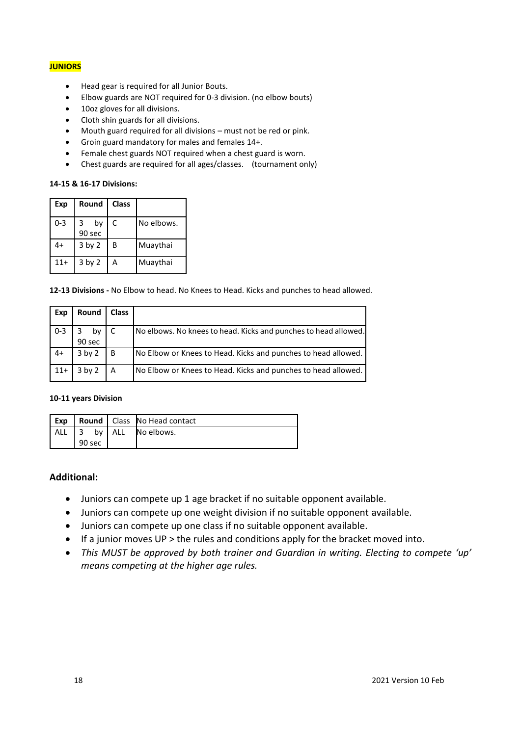#### **JUNIORS**

- Head gear is required for all Junior Bouts.
- Elbow guards are NOT required for 0-3 division. (no elbow bouts)
- 10oz gloves for all divisions.
- Cloth shin guards for all divisions.
- Mouth guard required for all divisions must not be red or pink.
- Groin guard mandatory for males and females 14+.
- Female chest guards NOT required when a chest guard is worn.
- Chest guards are required for all ages/classes. (tournament only)

#### **14-15 & 16-17 Divisions:**

| Exp     | Round             | <b>Class</b> |            |
|---------|-------------------|--------------|------------|
| $0 - 3$ | 3<br>by<br>90 sec | C            | No elbows. |
| 4+      | 3 by 2            | В            | Muaythai   |
| $11+$   | 3 by 2            | А            | Muaythai   |

**12-13 Divisions -** No Elbow to head. No Knees to Head. Kicks and punches to head allowed.

| Exp     | Round               | <b>Class</b> |                                                                 |
|---------|---------------------|--------------|-----------------------------------------------------------------|
| $0 - 3$ | by C<br>3<br>90 sec |              | No elbows. No knees to head. Kicks and punches to head allowed. |
| $4+$    | $3$ by $2$          | B            | No Elbow or Knees to Head. Kicks and punches to head allowed.   |
| $11+$   | $3$ by $2$          | A            | No Elbow or Knees to Head. Kicks and punches to head allowed.   |

#### **10-11 years Division**

| l Exp         |        |  |          | Round   Class   No Head contact |
|---------------|--------|--|----------|---------------------------------|
| ALL $\vert$ 3 |        |  | by   ALL | No elbows.                      |
|               | 90 sec |  |          |                                 |

#### **Additional:**

- Juniors can compete up 1 age bracket if no suitable opponent available.
- Juniors can compete up one weight division if no suitable opponent available.
- Juniors can compete up one class if no suitable opponent available.
- If a junior moves UP > the rules and conditions apply for the bracket moved into.
- *This MUST be approved by both trainer and Guardian in writing. Electing to compete 'up' means competing at the higher age rules.*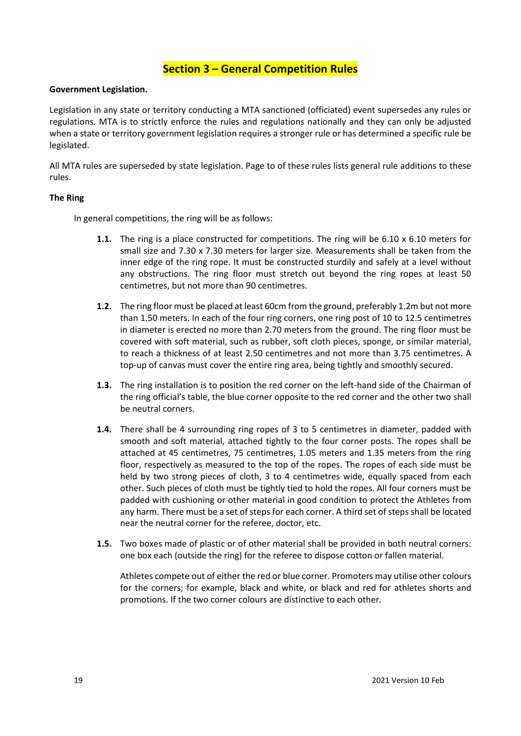# **Section 3 – General Competition Rules**

#### **Government Legislation.**

Legislation in any state or territory conducting a MTA sanctioned (officiated) event supersedes any rules or regulations. MTA is to strictly enforce the rules and regulations nationally and they can only be adjusted when a state or territory government legislation requires a stronger rule or has determined a specific rule be legislated.

All MTA rules are superseded by state legislation. Page to of these rules lists general rule additions to these rules.

#### **The Ring**

In general competitions, the ring will be as follows:

- **1.1.** The ring is a place constructed for competitions. The ring will be 6.10 x 6.10 meters for small size and 7.30 x 7.30 meters for larger size. Measurements shall be taken from the inner edge of the ring rope. It must be constructed sturdily and safely at a level without any obstructions. The ring floor must stretch out beyond the ring ropes at least 50 centimetres, but not more than 90 centimetres.
- **1.2.** The ring floor must be placed at least 60cm from the ground, preferably 1.2m but not more than 1.50 meters. In each of the four ring corners, one ring post of 10 to 12.5 centimetres in diameter is erected no more than 2.70 meters from the ground. The ring floor must be covered with soft material, such as rubber, soft cloth pieces, sponge, or similar material, to reach a thickness of at least 2.50 centimetres and not more than 3.75 centimetres. A top-up of canvas must cover the entire ring area, being tightly and smoothly secured.
- **1.3.** The ring installation is to position the red corner on the left-hand side of the Chairman of the ring official's table, the blue corner opposite to the red corner and the other two shall be neutral corners.
- **1.4.** There shall be 4 surrounding ring ropes of 3 to 5 centimetres in diameter, padded with smooth and soft material, attached tightly to the four corner posts. The ropes shall be attached at 45 centimetres, 75 centimetres, 1.05 meters and 1.35 meters from the ring floor, respectively as measured to the top of the ropes. The ropes of each side must be held by two strong pieces of cloth, 3 to 4 centimetres wide, equally spaced from each other. Such pieces of cloth must be tightly tied to hold the ropes. All four corners must be padded with cushioning or other material in good condition to protect the Athletes from any harm. There must be a set of steps for each corner. A third set of steps shall be located near the neutral corner for the referee, doctor, etc.
- **1.5.** Two boxes made of plastic or of other material shall be provided in both neutral corners: one box each (outside the ring) for the referee to dispose cotton or fallen material.

Athletes compete out of either the red or blue corner. Promoters may utilise other colours for the corners; for example, black and white, or black and red for athletes shorts and promotions. If the two corner colours are distinctive to each other.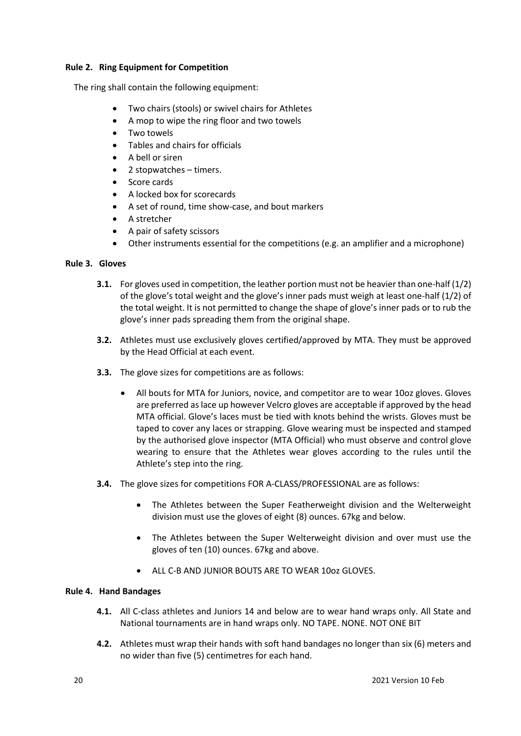### **Rule 2. Ring Equipment for Competition**

The ring shall contain the following equipment:

- Two chairs (stools) or swivel chairs for Athletes
- A mop to wipe the ring floor and two towels
- Two towels
- Tables and chairs for officials
- A bell or siren
- 2 stopwatches timers.
- Score cards
- A locked box for scorecards
- A set of round, time show-case, and bout markers
- A stretcher
- A pair of safety scissors
- Other instruments essential for the competitions (e.g. an amplifier and a microphone)

#### **Rule 3. Gloves**

- **3.1.** For gloves used in competition, the leather portion must not be heavier than one-half (1/2) of the glove's total weight and the glove's inner pads must weigh at least one-half (1/2) of the total weight. It is not permitted to change the shape of glove's inner pads or to rub the glove's inner pads spreading them from the original shape.
- **3.2.** Athletes must use exclusively gloves certified/approved by MTA. They must be approved by the Head Official at each event.
- **3.3.** The glove sizes for competitions are as follows:
	- All bouts for MTA for Juniors, novice, and competitor are to wear 10oz gloves. Gloves are preferred as lace up however Velcro gloves are acceptable if approved by the head MTA official. Glove's laces must be tied with knots behind the wrists. Gloves must be taped to cover any laces or strapping. Glove wearing must be inspected and stamped by the authorised glove inspector (MTA Official) who must observe and control glove wearing to ensure that the Athletes wear gloves according to the rules until the Athlete's step into the ring.
- **3.4.** The glove sizes for competitions FOR A-CLASS/PROFESSIONAL are as follows:
	- The Athletes between the Super Featherweight division and the Welterweight division must use the gloves of eight (8) ounces. 67kg and below.
	- The Athletes between the Super Welterweight division and over must use the gloves of ten (10) ounces. 67kg and above.
	- ALL C-B AND JUNIOR BOUTS ARE TO WEAR 10oz GLOVES.

#### **Rule 4. Hand Bandages**

- **4.1.** All C-class athletes and Juniors 14 and below are to wear hand wraps only. All State and National tournaments are in hand wraps only. NO TAPE. NONE. NOT ONE BIT
- **4.2.** Athletes must wrap their hands with soft hand bandages no longer than six (6) meters and no wider than five (5) centimetres for each hand.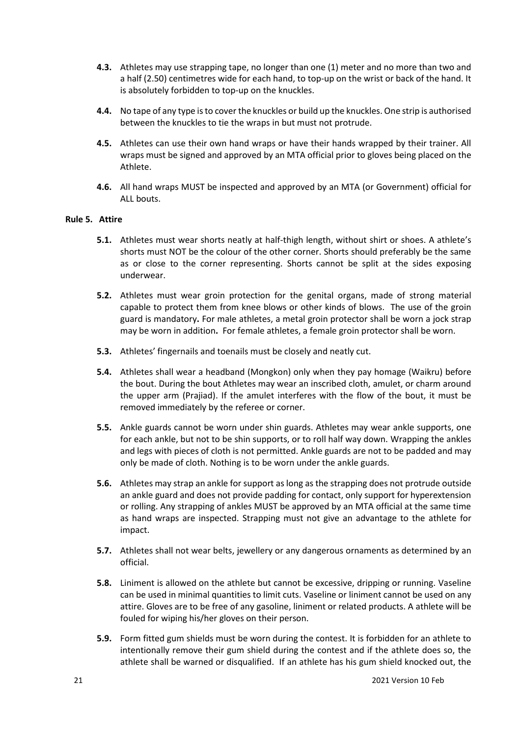- **4.3.** Athletes may use strapping tape, no longer than one (1) meter and no more than two and a half (2.50) centimetres wide for each hand, to top-up on the wrist or back of the hand. It is absolutely forbidden to top-up on the knuckles.
- **4.4.** No tape of any type is to cover the knuckles or build up the knuckles. One strip is authorised between the knuckles to tie the wraps in but must not protrude.
- **4.5.** Athletes can use their own hand wraps or have their hands wrapped by their trainer. All wraps must be signed and approved by an MTA official prior to gloves being placed on the Athlete.
- **4.6.** All hand wraps MUST be inspected and approved by an MTA (or Government) official for ALL bouts.

# **Rule 5. Attire**

- **5.1.** Athletes must wear shorts neatly at half-thigh length, without shirt or shoes. A athlete's shorts must NOT be the colour of the other corner. Shorts should preferably be the same as or close to the corner representing. Shorts cannot be split at the sides exposing underwear.
- **5.2.** Athletes must wear groin protection for the genital organs, made of strong material capable to protect them from knee blows or other kinds of blows. The use of the groin guard is mandatory**.** For male athletes, a metal groin protector shall be worn a jock strap may be worn in addition**.** For female athletes, a female groin protector shall be worn.
- **5.3.** Athletes' fingernails and toenails must be closely and neatly cut.
- **5.4.** Athletes shall wear a headband (Mongkon) only when they pay homage (Waikru) before the bout. During the bout Athletes may wear an inscribed cloth, amulet, or charm around the upper arm (Prajiad). If the amulet interferes with the flow of the bout, it must be removed immediately by the referee or corner.
- **5.5.** Ankle guards cannot be worn under shin guards. Athletes may wear ankle supports, one for each ankle, but not to be shin supports, or to roll half way down. Wrapping the ankles and legs with pieces of cloth is not permitted. Ankle guards are not to be padded and may only be made of cloth. Nothing is to be worn under the ankle guards.
- **5.6.** Athletes may strap an ankle for support as long as the strapping does not protrude outside an ankle guard and does not provide padding for contact, only support for hyperextension or rolling. Any strapping of ankles MUST be approved by an MTA official at the same time as hand wraps are inspected. Strapping must not give an advantage to the athlete for impact.
- **5.7.** Athletes shall not wear belts, jewellery or any dangerous ornaments as determined by an official.
- **5.8.** Liniment is allowed on the athlete but cannot be excessive, dripping or running. Vaseline can be used in minimal quantities to limit cuts. Vaseline or liniment cannot be used on any attire. Gloves are to be free of any gasoline, liniment or related products. A athlete will be fouled for wiping his/her gloves on their person.
- **5.9.** Form fitted gum shields must be worn during the contest. It is forbidden for an athlete to intentionally remove their gum shield during the contest and if the athlete does so, the athlete shall be warned or disqualified. If an athlete has his gum shield knocked out, the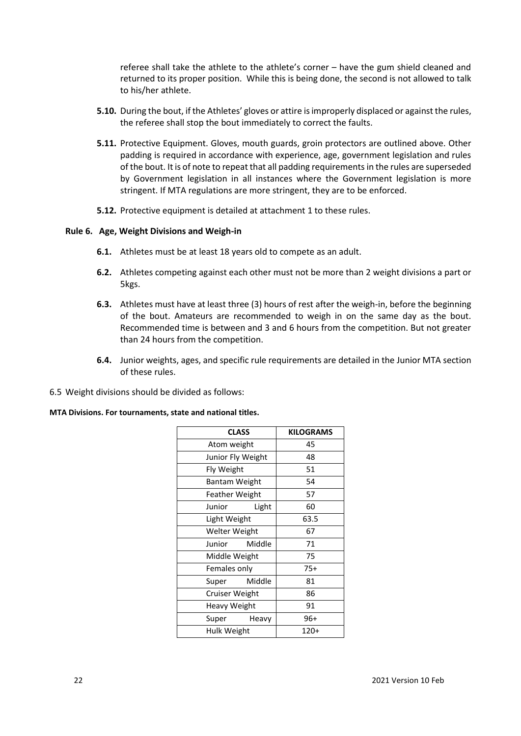referee shall take the athlete to the athlete's corner – have the gum shield cleaned and returned to its proper position. While this is being done, the second is not allowed to talk to his/her athlete.

- **5.10.** During the bout, if the Athletes' gloves or attire is improperly displaced or against the rules, the referee shall stop the bout immediately to correct the faults.
- **5.11.** Protective Equipment. Gloves, mouth guards, groin protectors are outlined above. Other padding is required in accordance with experience, age, government legislation and rules of the bout. It is of note to repeat that all padding requirements in the rules are superseded by Government legislation in all instances where the Government legislation is more stringent. If MTA regulations are more stringent, they are to be enforced.
- **5.12.** Protective equipment is detailed at attachment 1 to these rules.

#### **Rule 6. Age, Weight Divisions and Weigh-in**

- **6.1.** Athletes must be at least 18 years old to compete as an adult.
- **6.2.** Athletes competing against each other must not be more than 2 weight divisions a part or 5kgs.
- **6.3.** Athletes must have at least three (3) hours of rest after the weigh-in, before the beginning of the bout. Amateurs are recommended to weigh in on the same day as the bout. Recommended time is between and 3 and 6 hours from the competition. But not greater than 24 hours from the competition.
- **6.4.** Junior weights, ages, and specific rule requirements are detailed in the Junior MTA section of these rules.
- 6.5 Weight divisions should be divided as follows:

#### **MTA Divisions. For tournaments, state and national titles.**

| <b>CLASS</b>   |                   | <b>KILOGRAMS</b> |  |  |  |
|----------------|-------------------|------------------|--|--|--|
|                | Atom weight       |                  |  |  |  |
|                | Junior Fly Weight |                  |  |  |  |
| Fly Weight     |                   |                  |  |  |  |
|                | Bantam Weight     |                  |  |  |  |
| Feather Weight |                   | 57               |  |  |  |
| Junior         | Light             | 60               |  |  |  |
|                | Light Weight      |                  |  |  |  |
| Welter Weight  |                   | 67               |  |  |  |
| Junior         | Middle            | 71               |  |  |  |
| Middle Weight  |                   | 75               |  |  |  |
| Females only   |                   | $75+$            |  |  |  |
| Super          | Middle            | 81               |  |  |  |
|                | Cruiser Weight    |                  |  |  |  |
| Heavy Weight   |                   | 91               |  |  |  |
| Super          | Heavy             | 96+              |  |  |  |
| Hulk Weight    |                   | 120+             |  |  |  |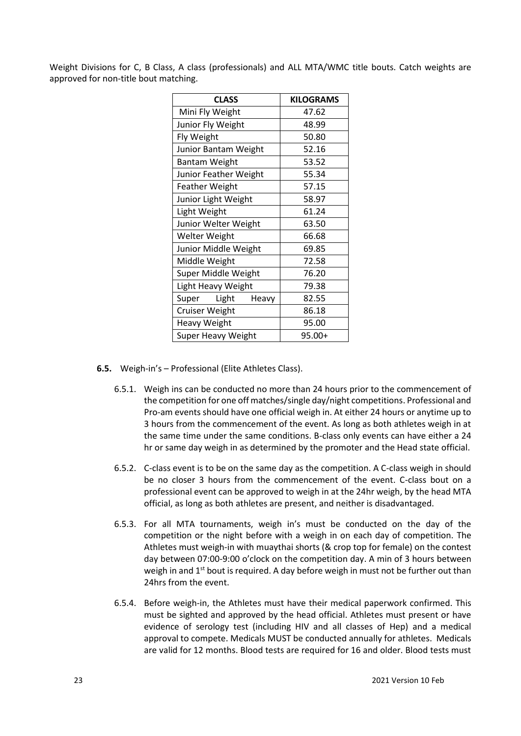Weight Divisions for C, B Class, A class (professionals) and ALL MTA/WMC title bouts. Catch weights are approved for non-title bout matching.

| <b>CLASS</b>              | <b>KILOGRAMS</b> |
|---------------------------|------------------|
| Mini Fly Weight           | 47.62            |
| Junior Fly Weight         | 48.99            |
| Fly Weight                | 50.80            |
| Junior Bantam Weight      | 52.16            |
| <b>Bantam Weight</b>      | 53.52            |
| Junior Feather Weight     | 55.34            |
| <b>Feather Weight</b>     | 57.15            |
| Junior Light Weight       | 58.97            |
| Light Weight              | 61.24            |
| Junior Welter Weight      | 63.50            |
| Welter Weight             | 66.68            |
| Junior Middle Weight      | 69.85            |
| Middle Weight             | 72.58            |
| Super Middle Weight       | 76.20            |
| Light Heavy Weight        | 79.38            |
| Light<br>Super<br>Heavy   | 82.55            |
| <b>Cruiser Weight</b>     | 86.18            |
| <b>Heavy Weight</b>       | 95.00            |
| <b>Super Heavy Weight</b> | 95.00+           |

**6.5.** Weigh-in's – Professional (Elite Athletes Class).

- 6.5.1. Weigh ins can be conducted no more than 24 hours prior to the commencement of the competition for one off matches/single day/night competitions. Professional and Pro-am events should have one official weigh in. At either 24 hours or anytime up to 3 hours from the commencement of the event. As long as both athletes weigh in at the same time under the same conditions. B-class only events can have either a 24 hr or same day weigh in as determined by the promoter and the Head state official.
- 6.5.2. C-class event is to be on the same day as the competition. A C-class weigh in should be no closer 3 hours from the commencement of the event. C-class bout on a professional event can be approved to weigh in at the 24hr weigh, by the head MTA official, as long as both athletes are present, and neither is disadvantaged.
- 6.5.3. For all MTA tournaments, weigh in's must be conducted on the day of the competition or the night before with a weigh in on each day of competition. The Athletes must weigh-in with muaythai shorts (& crop top for female) on the contest day between 07:00-9:00 o'clock on the competition day. A min of 3 hours between weigh in and 1<sup>st</sup> bout is required. A day before weigh in must not be further out than 24hrs from the event.
- 6.5.4. Before weigh-in, the Athletes must have their medical paperwork confirmed. This must be sighted and approved by the head official. Athletes must present or have evidence of serology test (including HIV and all classes of Hep) and a medical approval to compete. Medicals MUST be conducted annually for athletes. Medicals are valid for 12 months. Blood tests are required for 16 and older. Blood tests must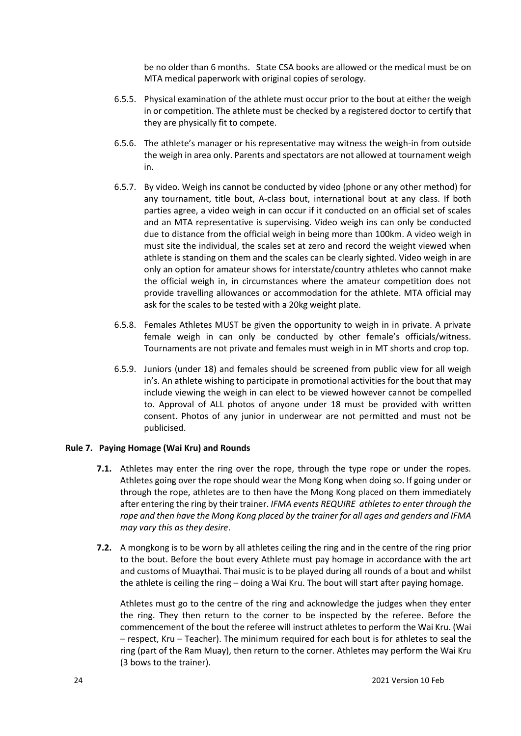be no older than 6 months. State CSA books are allowed or the medical must be on MTA medical paperwork with original copies of serology.

- 6.5.5. Physical examination of the athlete must occur prior to the bout at either the weigh in or competition. The athlete must be checked by a registered doctor to certify that they are physically fit to compete.
- 6.5.6. The athlete's manager or his representative may witness the weigh-in from outside the weigh in area only. Parents and spectators are not allowed at tournament weigh in.
- 6.5.7. By video. Weigh ins cannot be conducted by video (phone or any other method) for any tournament, title bout, A-class bout, international bout at any class. If both parties agree, a video weigh in can occur if it conducted on an official set of scales and an MTA representative is supervising. Video weigh ins can only be conducted due to distance from the official weigh in being more than 100km. A video weigh in must site the individual, the scales set at zero and record the weight viewed when athlete is standing on them and the scales can be clearly sighted. Video weigh in are only an option for amateur shows for interstate/country athletes who cannot make the official weigh in, in circumstances where the amateur competition does not provide travelling allowances or accommodation for the athlete. MTA official may ask for the scales to be tested with a 20kg weight plate.
- 6.5.8. Females Athletes MUST be given the opportunity to weigh in in private. A private female weigh in can only be conducted by other female's officials/witness. Tournaments are not private and females must weigh in in MT shorts and crop top.
- 6.5.9. Juniors (under 18) and females should be screened from public view for all weigh in's. An athlete wishing to participate in promotional activities for the bout that may include viewing the weigh in can elect to be viewed however cannot be compelled to. Approval of ALL photos of anyone under 18 must be provided with written consent. Photos of any junior in underwear are not permitted and must not be publicised.

#### **Rule 7. Paying Homage (Wai Kru) and Rounds**

- **7.1.** Athletes may enter the ring over the rope, through the type rope or under the ropes. Athletes going over the rope should wear the Mong Kong when doing so. If going under or through the rope, athletes are to then have the Mong Kong placed on them immediately after entering the ring by their trainer. *IFMA events REQUIRE athletes to enter through the rope and then have the Mong Kong placed by the trainer for all ages and genders and IFMA may vary this as they desire*.
- **7.2.** A mongkong is to be worn by all athletes ceiling the ring and in the centre of the ring prior to the bout. Before the bout every Athlete must pay homage in accordance with the art and customs of Muaythai. Thai music is to be played during all rounds of a bout and whilst the athlete is ceiling the ring – doing a Wai Kru. The bout will start after paying homage.

Athletes must go to the centre of the ring and acknowledge the judges when they enter the ring. They then return to the corner to be inspected by the referee. Before the commencement of the bout the referee will instruct athletes to perform the Wai Kru. (Wai – respect, Kru – Teacher). The minimum required for each bout is for athletes to seal the ring (part of the Ram Muay), then return to the corner. Athletes may perform the Wai Kru (3 bows to the trainer).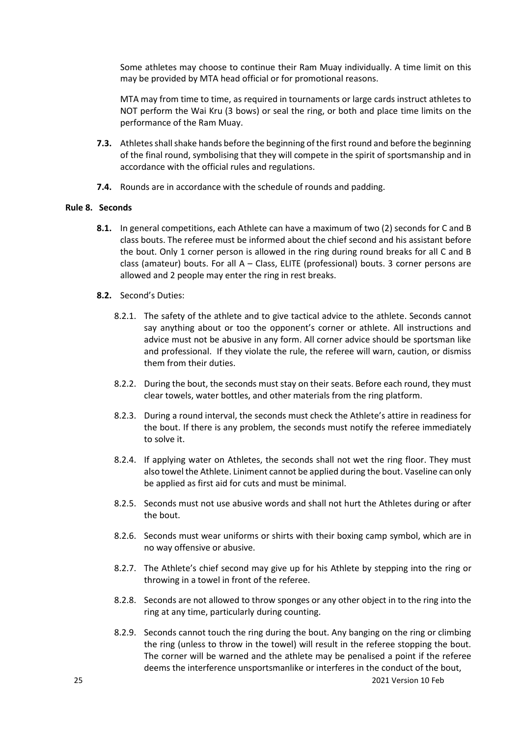Some athletes may choose to continue their Ram Muay individually. A time limit on this may be provided by MTA head official or for promotional reasons.

MTA may from time to time, as required in tournaments or large cards instruct athletes to NOT perform the Wai Kru (3 bows) or seal the ring, or both and place time limits on the performance of the Ram Muay.

- **7.3.** Athletes shall shake hands before the beginning of the first round and before the beginning of the final round, symbolising that they will compete in the spirit of sportsmanship and in accordance with the official rules and regulations.
- **7.4.** Rounds are in accordance with the schedule of rounds and padding.

#### **Rule 8. Seconds**

- **8.1.** In general competitions, each Athlete can have a maximum of two (2) seconds for C and B class bouts. The referee must be informed about the chief second and his assistant before the bout. Only 1 corner person is allowed in the ring during round breaks for all C and B class (amateur) bouts. For all A – Class, ELITE (professional) bouts. 3 corner persons are allowed and 2 people may enter the ring in rest breaks.
- **8.2.** Second's Duties:
	- 8.2.1. The safety of the athlete and to give tactical advice to the athlete. Seconds cannot say anything about or too the opponent's corner or athlete. All instructions and advice must not be abusive in any form. All corner advice should be sportsman like and professional. If they violate the rule, the referee will warn, caution, or dismiss them from their duties.
	- 8.2.2. During the bout, the seconds must stay on their seats. Before each round, they must clear towels, water bottles, and other materials from the ring platform.
	- 8.2.3. During a round interval, the seconds must check the Athlete's attire in readiness for the bout. If there is any problem, the seconds must notify the referee immediately to solve it.
	- 8.2.4. If applying water on Athletes, the seconds shall not wet the ring floor. They must also towel the Athlete. Liniment cannot be applied during the bout. Vaseline can only be applied as first aid for cuts and must be minimal.
	- 8.2.5. Seconds must not use abusive words and shall not hurt the Athletes during or after the bout.
	- 8.2.6. Seconds must wear uniforms or shirts with their boxing camp symbol, which are in no way offensive or abusive.
	- 8.2.7. The Athlete's chief second may give up for his Athlete by stepping into the ring or throwing in a towel in front of the referee.
	- 8.2.8. Seconds are not allowed to throw sponges or any other object in to the ring into the ring at any time, particularly during counting.
	- 8.2.9. Seconds cannot touch the ring during the bout. Any banging on the ring or climbing the ring (unless to throw in the towel) will result in the referee stopping the bout. The corner will be warned and the athlete may be penalised a point if the referee deems the interference unsportsmanlike or interferes in the conduct of the bout,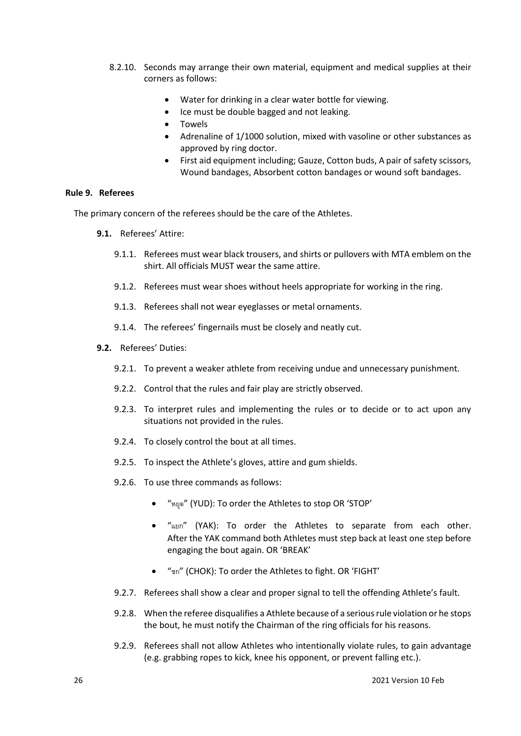- 8.2.10. Seconds may arrange their own material, equipment and medical supplies at their corners as follows:
	- Water for drinking in a clear water bottle for viewing.
	- Ice must be double bagged and not leaking.
	- Towels
	- Adrenaline of 1/1000 solution, mixed with vasoline or other substances as approved by ring doctor.
	- First aid equipment including; Gauze, Cotton buds, A pair of safety scissors, Wound bandages, Absorbent cotton bandages or wound soft bandages.

#### **Rule 9. Referees**

The primary concern of the referees should be the care of the Athletes.

- **9.1.** Referees' Attire:
	- 9.1.1. Referees must wear black trousers, and shirts or pullovers with MTA emblem on the shirt. All officials MUST wear the same attire.
	- 9.1.2. Referees must wear shoes without heels appropriate for working in the ring.
	- 9.1.3. Referees shall not wear eyeglasses or metal ornaments.
	- 9.1.4. The referees' fingernails must be closely and neatly cut.
- **9.2.** Referees' Duties:
	- 9.2.1. To prevent a weaker athlete from receiving undue and unnecessary punishment.
	- 9.2.2. Control that the rules and fair play are strictly observed.
	- 9.2.3. To interpret rules and implementing the rules or to decide or to act upon any situations not provided in the rules.
	- 9.2.4. To closely control the bout at all times.
	- 9.2.5. To inspect the Athlete's gloves, attire and gum shields.
	- 9.2.6. To use three commands as follows:
		- "หยุด" (YUD): To order the Athletes to stop OR 'STOP'
		- "แยก" (YAK): To order the Athletes to separate from each other. After the YAK command both Athletes must step back at least one step before engaging the bout again. OR 'BREAK'
		- "ชก" (CHOK): To order the Athletes to fight. OR 'FIGHT'
	- 9.2.7. Referees shall show a clear and proper signal to tell the offending Athlete's fault.
	- 9.2.8. When the referee disqualifies a Athlete because of a serious rule violation or he stops the bout, he must notify the Chairman of the ring officials for his reasons.
	- 9.2.9. Referees shall not allow Athletes who intentionally violate rules, to gain advantage (e.g. grabbing ropes to kick, knee his opponent, or prevent falling etc.).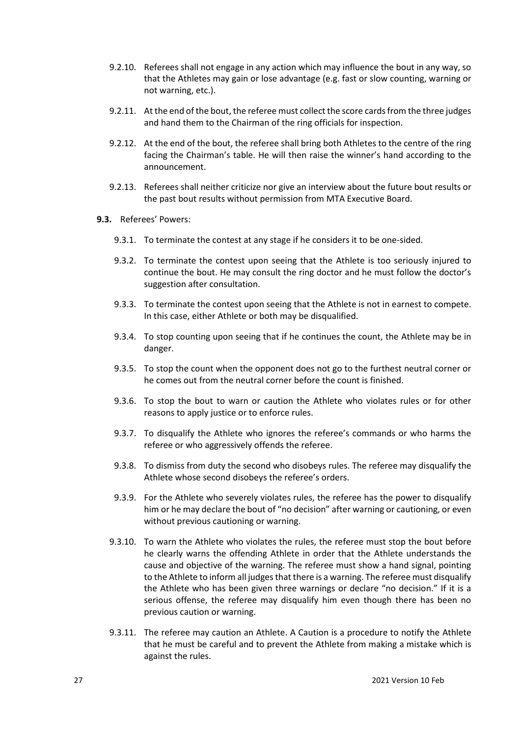- 9.2.10. Referees shall not engage in any action which may influence the bout in any way, so that the Athletes may gain or lose advantage (e.g. fast or slow counting, warning or not warning, etc.).
- 9.2.11. At the end of the bout, the referee must collect the score cards from the three judges and hand them to the Chairman of the ring officials for inspection.
- 9.2.12. At the end of the bout, the referee shall bring both Athletes to the centre of the ring facing the Chairman's table. He will then raise the winner's hand according to the announcement.
- 9.2.13. Referees shall neither criticize nor give an interview about the future bout results or the past bout results without permission from MTA Executive Board.
- **9.3.** Referees' Powers:
	- 9.3.1. To terminate the contest at any stage if he considers it to be one-sided.
	- 9.3.2. To terminate the contest upon seeing that the Athlete is too seriously injured to continue the bout. He may consult the ring doctor and he must follow the doctor's suggestion after consultation.
	- 9.3.3. To terminate the contest upon seeing that the Athlete is not in earnest to compete. In this case, either Athlete or both may be disqualified.
	- 9.3.4. To stop counting upon seeing that if he continues the count, the Athlete may be in danger.
	- 9.3.5. To stop the count when the opponent does not go to the furthest neutral corner or he comes out from the neutral corner before the count is finished.
	- 9.3.6. To stop the bout to warn or caution the Athlete who violates rules or for other reasons to apply justice or to enforce rules.
	- 9.3.7. To disqualify the Athlete who ignores the referee's commands or who harms the referee or who aggressively offends the referee.
	- 9.3.8. To dismiss from duty the second who disobeys rules. The referee may disqualify the Athlete whose second disobeys the referee's orders.
	- 9.3.9. For the Athlete who severely violates rules, the referee has the power to disqualify him or he may declare the bout of "no decision" after warning or cautioning, or even without previous cautioning or warning.
	- 9.3.10. To warn the Athlete who violates the rules, the referee must stop the bout before he clearly warns the offending Athlete in order that the Athlete understands the cause and objective of the warning. The referee must show a hand signal, pointing to the Athlete to inform all judges that there is a warning. The referee must disqualify the Athlete who has been given three warnings or declare "no decision." If it is a serious offense, the referee may disqualify him even though there has been no previous caution or warning.
	- 9.3.11. The referee may caution an Athlete. A Caution is a procedure to notify the Athlete that he must be careful and to prevent the Athlete from making a mistake which is against the rules.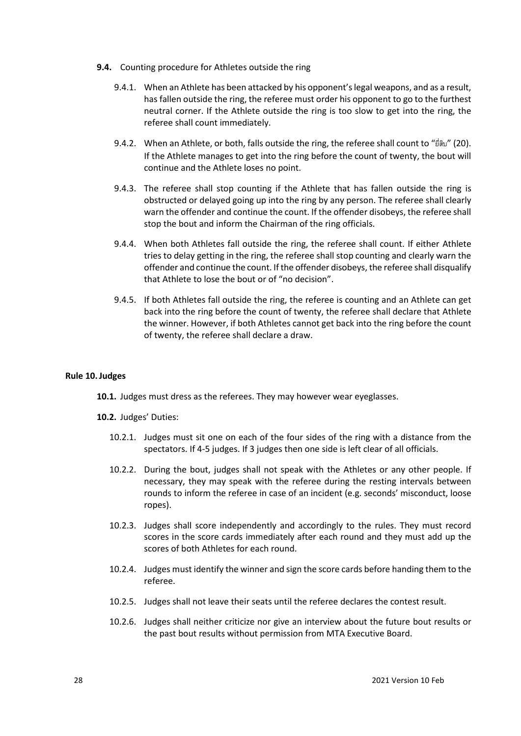- **9.4.** Counting procedure for Athletes outside the ring
	- 9.4.1. When an Athlete has been attacked by his opponent's legal weapons, and as a result, has fallen outside the ring, the referee must order his opponent to go to the furthest neutral corner. If the Athlete outside the ring is too slow to get into the ring, the referee shall count immediately.
	- 9.4.2. When an Athlete, or both, falls outside the ring, the referee shall count to "ยี่สิบ" (20). If the Athlete manages to get into the ring before the count of twenty, the bout will continue and the Athlete loses no point.
	- 9.4.3. The referee shall stop counting if the Athlete that has fallen outside the ring is obstructed or delayed going up into the ring by any person. The referee shall clearly warn the offender and continue the count. If the offender disobeys, the referee shall stop the bout and inform the Chairman of the ring officials.
	- 9.4.4. When both Athletes fall outside the ring, the referee shall count. If either Athlete tries to delay getting in the ring, the referee shall stop counting and clearly warn the offender and continue the count. If the offender disobeys, the referee shall disqualify that Athlete to lose the bout or of "no decision".
	- 9.4.5. If both Athletes fall outside the ring, the referee is counting and an Athlete can get back into the ring before the count of twenty, the referee shall declare that Athlete the winner. However, if both Athletes cannot get back into the ring before the count of twenty, the referee shall declare a draw.

#### **Rule 10.Judges**

**10.1.** Judges must dress as the referees. They may however wear eyeglasses.

**10.2.** Judges' Duties:

- 10.2.1. Judges must sit one on each of the four sides of the ring with a distance from the spectators. If 4-5 judges. If 3 judges then one side is left clear of all officials.
- 10.2.2. During the bout, judges shall not speak with the Athletes or any other people. If necessary, they may speak with the referee during the resting intervals between rounds to inform the referee in case of an incident (e.g. seconds' misconduct, loose ropes).
- 10.2.3. Judges shall score independently and accordingly to the rules. They must record scores in the score cards immediately after each round and they must add up the scores of both Athletes for each round.
- 10.2.4. Judges must identify the winner and sign the score cards before handing them to the referee.
- 10.2.5. Judges shall not leave their seats until the referee declares the contest result.
- 10.2.6. Judges shall neither criticize nor give an interview about the future bout results or the past bout results without permission from MTA Executive Board.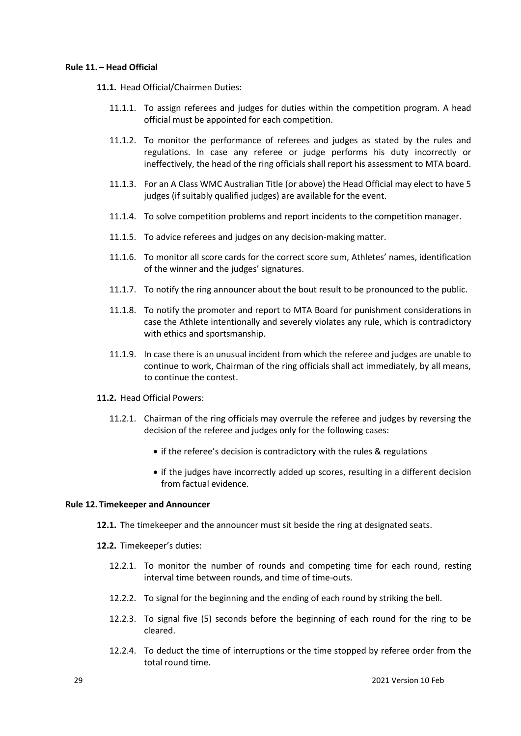#### **Rule 11. – Head Official**

**11.1.** Head Official/Chairmen Duties:

- 11.1.1. To assign referees and judges for duties within the competition program. A head official must be appointed for each competition.
- 11.1.2. To monitor the performance of referees and judges as stated by the rules and regulations. In case any referee or judge performs his duty incorrectly or ineffectively, the head of the ring officials shall report his assessment to MTA board.
- 11.1.3. For an A Class WMC Australian Title (or above) the Head Official may elect to have 5 judges (if suitably qualified judges) are available for the event.
- 11.1.4. To solve competition problems and report incidents to the competition manager.
- 11.1.5. To advice referees and judges on any decision-making matter.
- 11.1.6. To monitor all score cards for the correct score sum, Athletes' names, identification of the winner and the judges' signatures.
- 11.1.7. To notify the ring announcer about the bout result to be pronounced to the public.
- 11.1.8. To notify the promoter and report to MTA Board for punishment considerations in case the Athlete intentionally and severely violates any rule, which is contradictory with ethics and sportsmanship.
- 11.1.9. In case there is an unusual incident from which the referee and judges are unable to continue to work, Chairman of the ring officials shall act immediately, by all means, to continue the contest.
- **11.2.** Head Official Powers:
	- 11.2.1. Chairman of the ring officials may overrule the referee and judges by reversing the decision of the referee and judges only for the following cases:
		- if the referee's decision is contradictory with the rules & regulations
		- if the judges have incorrectly added up scores, resulting in a different decision from factual evidence.

#### **Rule 12. Timekeeper and Announcer**

- **12.1.** The timekeeper and the announcer must sit beside the ring at designated seats.
- **12.2.** Timekeeper's duties:
	- 12.2.1. To monitor the number of rounds and competing time for each round, resting interval time between rounds, and time of time-outs.
	- 12.2.2. To signal for the beginning and the ending of each round by striking the bell.
	- 12.2.3. To signal five (5) seconds before the beginning of each round for the ring to be cleared.
	- 12.2.4. To deduct the time of interruptions or the time stopped by referee order from the total round time.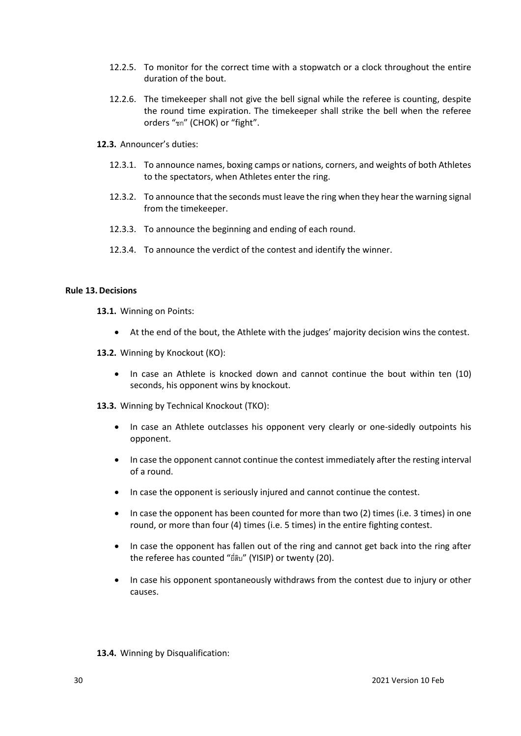- 12.2.5. To monitor for the correct time with a stopwatch or a clock throughout the entire duration of the bout.
- 12.2.6. The timekeeper shall not give the bell signal while the referee is counting, despite the round time expiration. The timekeeper shall strike the bell when the referee orders "ชก" (CHOK) or "fight".
- **12.3.** Announcer's duties:
	- 12.3.1. To announce names, boxing camps or nations, corners, and weights of both Athletes to the spectators, when Athletes enter the ring.
	- 12.3.2. To announce that the seconds must leave the ring when they hear the warning signal from the timekeeper.
	- 12.3.3. To announce the beginning and ending of each round.
	- 12.3.4. To announce the verdict of the contest and identify the winner.

#### **Rule 13.Decisions**

- **13.1.** Winning on Points:
	- At the end of the bout, the Athlete with the judges' majority decision wins the contest.
- **13.2.** Winning by Knockout (KO):
	- In case an Athlete is knocked down and cannot continue the bout within ten (10) seconds, his opponent wins by knockout.
- **13.3.** Winning by Technical Knockout (TKO):
	- In case an Athlete outclasses his opponent very clearly or one-sidedly outpoints his opponent.
	- In case the opponent cannot continue the contest immediately after the resting interval of a round.
	- In case the opponent is seriously injured and cannot continue the contest.
	- In case the opponent has been counted for more than two (2) times (i.e. 3 times) in one round, or more than four (4) times (i.e. 5 times) in the entire fighting contest.
	- In case the opponent has fallen out of the ring and cannot get back into the ring after the referee has counted "ยี่สิบ" (YISIP) or twenty (20).
	- In case his opponent spontaneously withdraws from the contest due to injury or other causes.

#### **13.4.** Winning by Disqualification: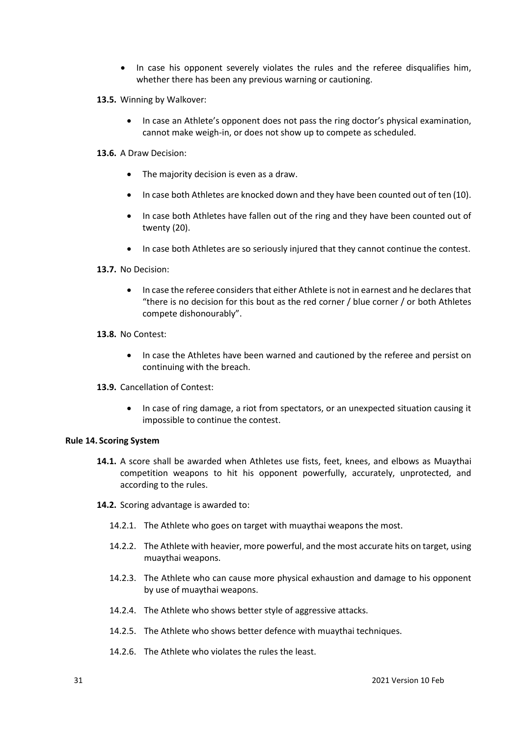- In case his opponent severely violates the rules and the referee disqualifies him, whether there has been any previous warning or cautioning.
- **13.5.** Winning by Walkover:
	- In case an Athlete's opponent does not pass the ring doctor's physical examination, cannot make weigh-in, or does not show up to compete as scheduled.
- **13.6.** A Draw Decision:
	- The majority decision is even as a draw.
	- In case both Athletes are knocked down and they have been counted out of ten (10).
	- In case both Athletes have fallen out of the ring and they have been counted out of twenty (20).
	- In case both Athletes are so seriously injured that they cannot continue the contest.
- **13.7.** No Decision:
	- In case the referee considers that either Athlete is not in earnest and he declares that "there is no decision for this bout as the red corner / blue corner / or both Athletes compete dishonourably".
- **13.8.** No Contest:
	- In case the Athletes have been warned and cautioned by the referee and persist on continuing with the breach.
- **13.9.** Cancellation of Contest:
	- In case of ring damage, a riot from spectators, or an unexpected situation causing it impossible to continue the contest.

#### **Rule 14. Scoring System**

- **14.1.** A score shall be awarded when Athletes use fists, feet, knees, and elbows as Muaythai competition weapons to hit his opponent powerfully, accurately, unprotected, and according to the rules.
- **14.2.** Scoring advantage is awarded to:
	- 14.2.1. The Athlete who goes on target with muaythai weapons the most.
	- 14.2.2. The Athlete with heavier, more powerful, and the most accurate hits on target, using muaythai weapons.
	- 14.2.3. The Athlete who can cause more physical exhaustion and damage to his opponent by use of muaythai weapons.
	- 14.2.4. The Athlete who shows better style of aggressive attacks.
	- 14.2.5. The Athlete who shows better defence with muaythai techniques.
	- 14.2.6. The Athlete who violates the rules the least.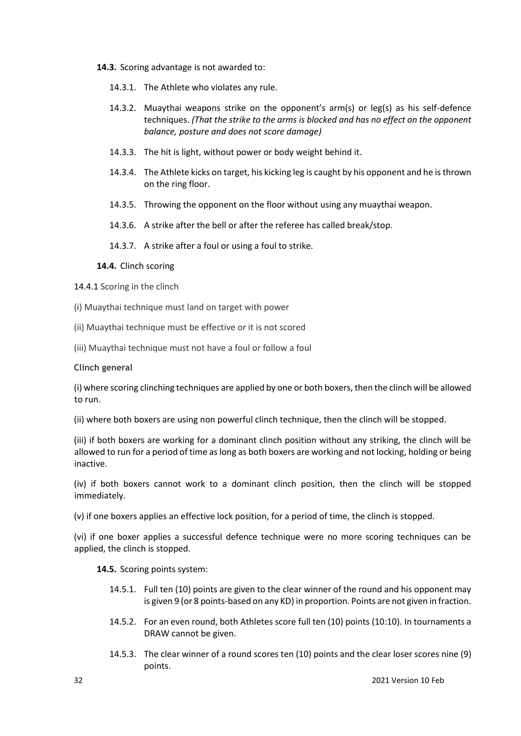#### **14.3.** Scoring advantage is not awarded to:

- 14.3.1. The Athlete who violates any rule.
- 14.3.2. Muaythai weapons strike on the opponent's arm(s) or leg(s) as his self-defence techniques. *(That the strike to the arms is blocked and has no effect on the opponent balance, posture and does not score damage)*
- 14.3.3. The hit is light, without power or body weight behind it.
- 14.3.4. The Athlete kicks on target, his kicking leg is caught by his opponent and he is thrown on the ring floor.
- 14.3.5. Throwing the opponent on the floor without using any muaythai weapon.
- 14.3.6. A strike after the bell or after the referee has called break/stop.

14.3.7. A strike after a foul or using a foul to strike.

#### **14.4.** Clinch scoring

14.4.1 Scoring in the clinch

(i) Muaythai technique must land on target with power

- (ii) Muaythai technique must be effective or it is not scored
- (iii) Muaythai technique must not have a foul or follow a foul

### **Clinch general**

(i) where scoring clinching techniques are applied by one or both boxers, then the clinch will be allowed to run.

(ii) where both boxers are using non powerful clinch technique, then the clinch will be stopped.

(iii) if both boxers are working for a dominant clinch position without any striking, the clinch will be allowed to run for a period of time as long as both boxers are working and not locking, holding or being inactive.

(iv) if both boxers cannot work to a dominant clinch position, then the clinch will be stopped immediately.

(v) if one boxers applies an effective lock position, for a period of time, the clinch is stopped.

(vi) if one boxer applies a successful defence technique were no more scoring techniques can be applied, the clinch is stopped.

#### **14.5.** Scoring points system:

- 14.5.1. Full ten (10) points are given to the clear winner of the round and his opponent may is given 9 (or 8 points-based on any KD) in proportion. Points are not given in fraction.
- 14.5.2. For an even round, both Athletes score full ten (10) points (10:10). In tournaments a DRAW cannot be given.
- 14.5.3. The clear winner of a round scores ten (10) points and the clear loser scores nine (9) points.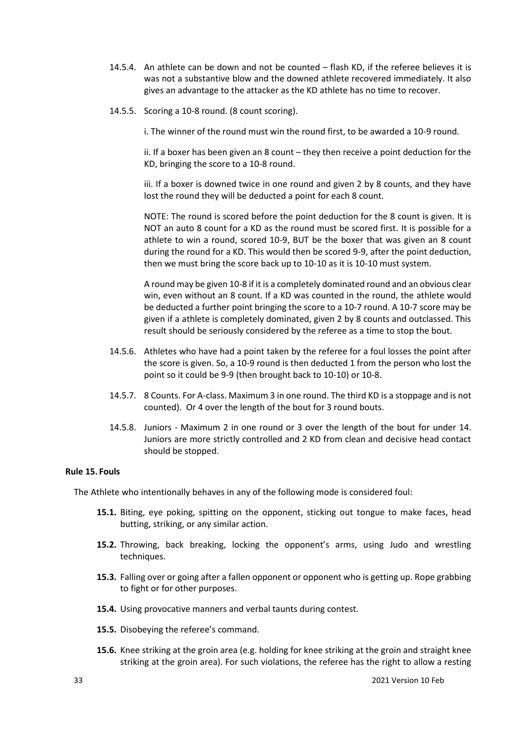- 14.5.4. An athlete can be down and not be counted flash KD, if the referee believes it is was not a substantive blow and the downed athlete recovered immediately. It also gives an advantage to the attacker as the KD athlete has no time to recover.
- 14.5.5. Scoring a 10-8 round. (8 count scoring).

i. The winner of the round must win the round first, to be awarded a 10-9 round.

ii. If a boxer has been given an 8 count – they then receive a point deduction for the KD, bringing the score to a 10-8 round.

iii. If a boxer is downed twice in one round and given 2 by 8 counts, and they have lost the round they will be deducted a point for each 8 count.

NOTE: The round is scored before the point deduction for the 8 count is given. It is NOT an auto 8 count for a KD as the round must be scored first. It is possible for a athlete to win a round, scored 10-9, BUT be the boxer that was given an 8 count during the round for a KD. This would then be scored 9-9, after the point deduction, then we must bring the score back up to 10-10 as it is 10-10 must system.

A round may be given 10-8 if it is a completely dominated round and an obvious clear win, even without an 8 count. If a KD was counted in the round, the athlete would be deducted a further point bringing the score to a 10-7 round. A 10-7 score may be given if a athlete is completely dominated, given 2 by 8 counts and outclassed. This result should be seriously considered by the referee as a time to stop the bout.

- 14.5.6. Athletes who have had a point taken by the referee for a foul losses the point after the score is given. So, a 10-9 round is then deducted 1 from the person who lost the point so it could be 9-9 (then brought back to 10-10) or 10-8.
- 14.5.7. 8 Counts. For A-class. Maximum 3 in one round. The third KD is a stoppage and is not counted). Or 4 over the length of the bout for 3 round bouts.
- 14.5.8. Juniors Maximum 2 in one round or 3 over the length of the bout for under 14. Juniors are more strictly controlled and 2 KD from clean and decisive head contact should be stopped.

#### **Rule 15. Fouls**

The Athlete who intentionally behaves in any of the following mode is considered foul:

- **15.1.** Biting, eye poking, spitting on the opponent, sticking out tongue to make faces, head butting, striking, or any similar action.
- **15.2.** Throwing, back breaking, locking the opponent's arms, using Judo and wrestling techniques.
- **15.3.** Falling over or going after a fallen opponent or opponent who is getting up. Rope grabbing to fight or for other purposes.
- **15.4.** Using provocative manners and verbal taunts during contest.
- **15.5.** Disobeying the referee's command.
- **15.6.** Knee striking at the groin area (e.g. holding for knee striking at the groin and straight knee striking at the groin area). For such violations, the referee has the right to allow a resting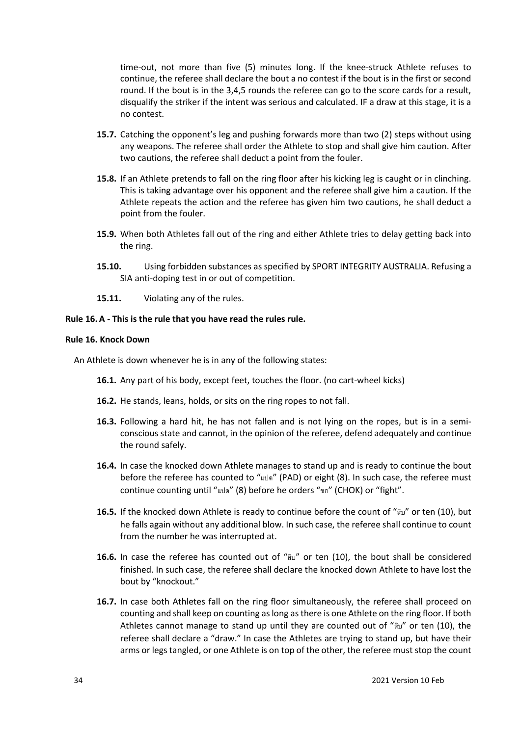time-out, not more than five (5) minutes long. If the knee-struck Athlete refuses to continue, the referee shall declare the bout a no contest if the bout is in the first or second round. If the bout is in the 3,4,5 rounds the referee can go to the score cards for a result, disqualify the striker if the intent was serious and calculated. IF a draw at this stage, it is a no contest.

- **15.7.** Catching the opponent's leg and pushing forwards more than two (2) steps without using any weapons. The referee shall order the Athlete to stop and shall give him caution. After two cautions, the referee shall deduct a point from the fouler.
- **15.8.** If an Athlete pretends to fall on the ring floor after his kicking leg is caught or in clinching. This is taking advantage over his opponent and the referee shall give him a caution. If the Athlete repeats the action and the referee has given him two cautions, he shall deduct a point from the fouler.
- **15.9.** When both Athletes fall out of the ring and either Athlete tries to delay getting back into the ring.
- **15.10.** Using forbidden substances as specified by SPORT INTEGRITY AUSTRALIA. Refusing a SIA anti-doping test in or out of competition.
- **15.11.** Violating any of the rules.

# **Rule 16.A - This is the rule that you have read the rules rule.**

### **Rule 16. Knock Down**

An Athlete is down whenever he is in any of the following states:

- **16.1.** Any part of his body, except feet, touches the floor. (no cart-wheel kicks)
- **16.2.** He stands, leans, holds, or sits on the ring ropes to not fall.
- **16.3.** Following a hard hit, he has not fallen and is not lying on the ropes, but is in a semiconscious state and cannot, in the opinion of the referee, defend adequately and continue the round safely.
- **16.4.** In case the knocked down Athlete manages to stand up and is ready to continue the bout before the referee has counted to "แปด" (PAD) or eight (8). In such case, the referee must continue counting until "แปด" (8) before he orders "ชก" (CHOK) or "fight".
- **16.5.** If the knocked down Athlete is ready to continue before the count of "สิบ" or ten (10), but he falls again without any additional blow. In such case, the referee shall continue to count from the number he was interrupted at.
- **16.6.** In case the referee has counted out of "สิบ" or ten (10), the bout shall be considered finished. In such case, the referee shall declare the knocked down Athlete to have lost the bout by "knockout."
- **16.7.** In case both Athletes fall on the ring floor simultaneously, the referee shall proceed on counting and shall keep on counting as long as there is one Athlete on the ring floor. If both Athletes cannot manage to stand up until they are counted out of "สิบ" or ten (10), the referee shall declare a "draw." In case the Athletes are trying to stand up, but have their arms or legs tangled, or one Athlete is on top of the other, the referee must stop the count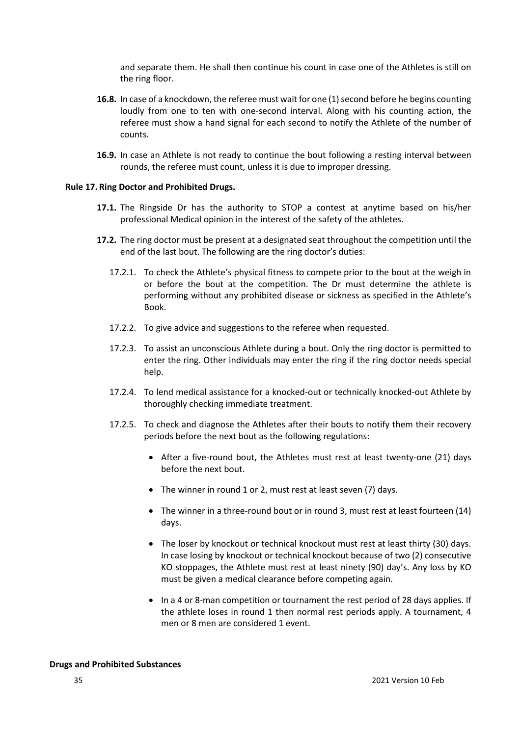and separate them. He shall then continue his count in case one of the Athletes is still on the ring floor.

- **16.8.** In case of a knockdown, the referee must wait for one (1) second before he begins counting loudly from one to ten with one-second interval. Along with his counting action, the referee must show a hand signal for each second to notify the Athlete of the number of counts.
- **16.9.** In case an Athlete is not ready to continue the bout following a resting interval between rounds, the referee must count, unless it is due to improper dressing.

#### **Rule 17. Ring Doctor and Prohibited Drugs.**

- **17.1.** The Ringside Dr has the authority to STOP a contest at anytime based on his/her professional Medical opinion in the interest of the safety of the athletes.
- **17.2.** The ring doctor must be present at a designated seat throughout the competition until the end of the last bout. The following are the ring doctor's duties:
	- 17.2.1. To check the Athlete's physical fitness to compete prior to the bout at the weigh in or before the bout at the competition. The Dr must determine the athlete is performing without any prohibited disease or sickness as specified in the Athlete's Book.
	- 17.2.2. To give advice and suggestions to the referee when requested.
	- 17.2.3. To assist an unconscious Athlete during a bout. Only the ring doctor is permitted to enter the ring. Other individuals may enter the ring if the ring doctor needs special help.
	- 17.2.4. To lend medical assistance for a knocked-out or technically knocked-out Athlete by thoroughly checking immediate treatment.
	- 17.2.5. To check and diagnose the Athletes after their bouts to notify them their recovery periods before the next bout as the following regulations:
		- After a five-round bout, the Athletes must rest at least twenty-one (21) days before the next bout.
		- The winner in round 1 or 2, must rest at least seven (7) days.
		- The winner in a three-round bout or in round 3, must rest at least fourteen (14) days.
		- The loser by knockout or technical knockout must rest at least thirty (30) days. In case losing by knockout or technical knockout because of two (2) consecutive KO stoppages, the Athlete must rest at least ninety (90) day's. Any loss by KO must be given a medical clearance before competing again.
		- In a 4 or 8-man competition or tournament the rest period of 28 days applies. If the athlete loses in round 1 then normal rest periods apply. A tournament, 4 men or 8 men are considered 1 event.

#### **Drugs and Prohibited Substances**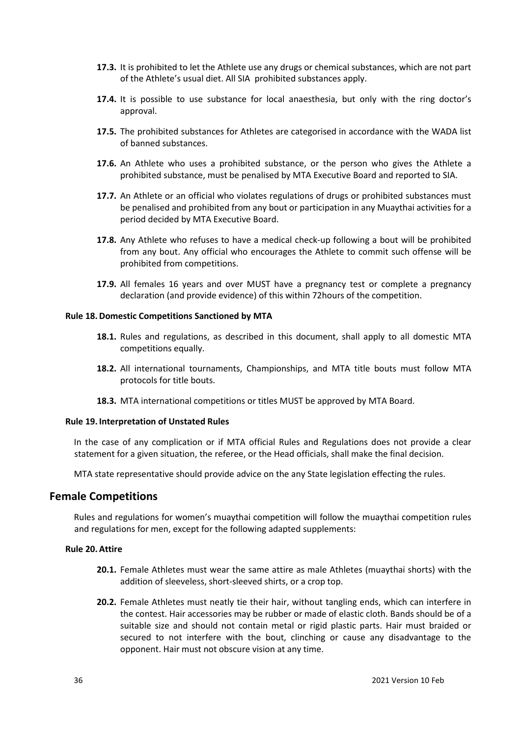- **17.3.** It is prohibited to let the Athlete use any drugs or chemical substances, which are not part of the Athlete's usual diet. All SIA prohibited substances apply.
- **17.4.** It is possible to use substance for local anaesthesia, but only with the ring doctor's approval.
- **17.5.** The prohibited substances for Athletes are categorised in accordance with the WADA list of banned substances.
- **17.6.** An Athlete who uses a prohibited substance, or the person who gives the Athlete a prohibited substance, must be penalised by MTA Executive Board and reported to SIA.
- **17.7.** An Athlete or an official who violates regulations of drugs or prohibited substances must be penalised and prohibited from any bout or participation in any Muaythai activities for a period decided by MTA Executive Board.
- **17.8.** Any Athlete who refuses to have a medical check-up following a bout will be prohibited from any bout. Any official who encourages the Athlete to commit such offense will be prohibited from competitions.
- **17.9.** All females 16 years and over MUST have a pregnancy test or complete a pregnancy declaration (and provide evidence) of this within 72hours of the competition.

#### **Rule 18.Domestic Competitions Sanctioned by MTA**

- **18.1.** Rules and regulations, as described in this document, shall apply to all domestic MTA competitions equally.
- **18.2.** All international tournaments, Championships, and MTA title bouts must follow MTA protocols for title bouts.
- **18.3.** MTA international competitions or titles MUST be approved by MTA Board.

#### **Rule 19. Interpretation of Unstated Rules**

In the case of any complication or if MTA official Rules and Regulations does not provide a clear statement for a given situation, the referee, or the Head officials, shall make the final decision.

MTA state representative should provide advice on the any State legislation effecting the rules.

# **Female Competitions**

Rules and regulations for women's muaythai competition will follow the muaythai competition rules and regulations for men, except for the following adapted supplements:

#### **Rule 20.Attire**

- **20.1.** Female Athletes must wear the same attire as male Athletes (muaythai shorts) with the addition of sleeveless, short-sleeved shirts, or a crop top.
- **20.2.** Female Athletes must neatly tie their hair, without tangling ends, which can interfere in the contest. Hair accessories may be rubber or made of elastic cloth. Bands should be of a suitable size and should not contain metal or rigid plastic parts. Hair must braided or secured to not interfere with the bout, clinching or cause any disadvantage to the opponent. Hair must not obscure vision at any time.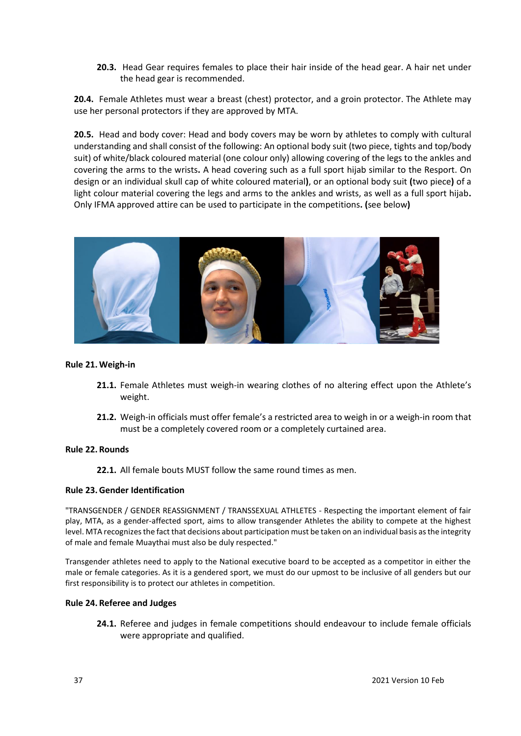**20.3.** Head Gear requires females to place their hair inside of the head gear. A hair net under the head gear is recommended.

**20.4.** Female Athletes must wear a breast (chest) protector, and a groin protector. The Athlete may use her personal protectors if they are approved by MTA.

**20.5.** Head and body cover: Head and body covers may be worn by athletes to comply with cultural understanding and shall consist of the following: An optional body suit (two piece, tights and top/body suit) of white/black coloured material (one colour only) allowing covering of the legs to the ankles and covering the arms to the wrists**.** A head covering such as a full sport hijab similar to the Resport. On design or an individual skull cap of white coloured material**)**, or an optional body suit **(**two piece**)** of a light colour material covering the legs and arms to the ankles and wrists, as well as a full sport hijab**.**  Only IFMA approved attire can be used to participate in the competitions**. (**see below**)**



#### **Rule 21.Weigh-in**

- **21.1.** Female Athletes must weigh-in wearing clothes of no altering effect upon the Athlete's weight.
- **21.2.** Weigh-in officials must offer female's a restricted area to weigh in or a weigh-in room that must be a completely covered room or a completely curtained area.

#### **Rule 22. Rounds**

**22.1.** All female bouts MUST follow the same round times as men.

#### **Rule 23.Gender Identification**

"TRANSGENDER / GENDER REASSIGNMENT / TRANSSEXUAL ATHLETES - Respecting the important element of fair play, MTA, as a gender-affected sport, aims to allow transgender Athletes the ability to compete at the highest level. MTA recognizes the fact that decisions about participation must be taken on an individual basis as the integrity of male and female Muaythai must also be duly respected."

Transgender athletes need to apply to the National executive board to be accepted as a competitor in either the male or female categories. As it is a gendered sport, we must do our upmost to be inclusive of all genders but our first responsibility is to protect our athletes in competition.

#### **Rule 24. Referee and Judges**

**24.1.** Referee and judges in female competitions should endeavour to include female officials were appropriate and qualified.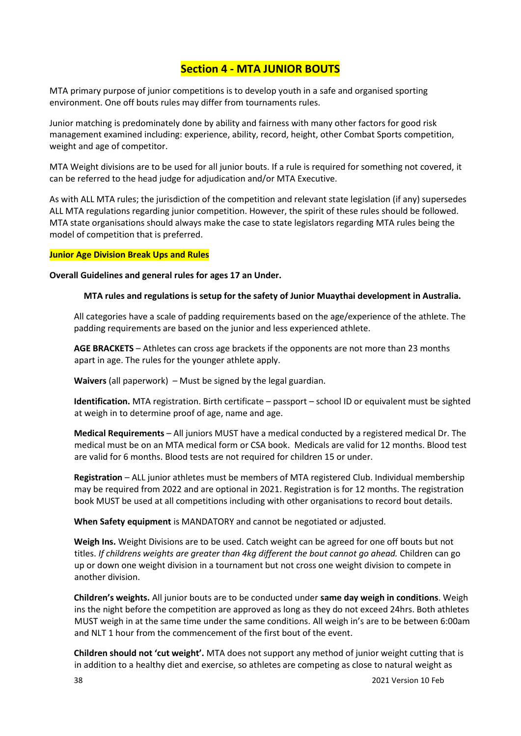# **Section 4 - MTA JUNIOR BOUTS**

MTA primary purpose of junior competitions is to develop youth in a safe and organised sporting environment. One off bouts rules may differ from tournaments rules.

Junior matching is predominately done by ability and fairness with many other factors for good risk management examined including: experience, ability, record, height, other Combat Sports competition, weight and age of competitor.

MTA Weight divisions are to be used for all junior bouts. If a rule is required for something not covered, it can be referred to the head judge for adjudication and/or MTA Executive.

As with ALL MTA rules; the jurisdiction of the competition and relevant state legislation (if any) supersedes ALL MTA regulations regarding junior competition. However, the spirit of these rules should be followed. MTA state organisations should always make the case to state legislators regarding MTA rules being the model of competition that is preferred.

# **Junior Age Division Break Ups and Rules**

**Overall Guidelines and general rules for ages 17 an Under.**

# **MTA rules and regulations is setup for the safety of Junior Muaythai development in Australia.**

All categories have a scale of padding requirements based on the age/experience of the athlete. The padding requirements are based on the junior and less experienced athlete.

**AGE BRACKETS** – Athletes can cross age brackets if the opponents are not more than 23 months apart in age. The rules for the younger athlete apply.

**Waivers** (all paperwork) – Must be signed by the legal guardian.

**Identification.** MTA registration. Birth certificate – passport – school ID or equivalent must be sighted at weigh in to determine proof of age, name and age.

**Medical Requirements** – All juniors MUST have a medical conducted by a registered medical Dr. The medical must be on an MTA medical form or CSA book. Medicals are valid for 12 months. Blood test are valid for 6 months. Blood tests are not required for children 15 or under.

**Registration** – ALL junior athletes must be members of MTA registered Club. Individual membership may be required from 2022 and are optional in 2021. Registration is for 12 months. The registration book MUST be used at all competitions including with other organisations to record bout details.

**When Safety equipment** is MANDATORY and cannot be negotiated or adjusted.

**Weigh Ins.** Weight Divisions are to be used. Catch weight can be agreed for one off bouts but not titles. *If childrens weights are greater than 4kg different the bout cannot go ahead.* Children can go up or down one weight division in a tournament but not cross one weight division to compete in another division.

**Children's weights.** All junior bouts are to be conducted under **same day weigh in conditions**. Weigh ins the night before the competition are approved as long as they do not exceed 24hrs. Both athletes MUST weigh in at the same time under the same conditions. All weigh in's are to be between 6:00am and NLT 1 hour from the commencement of the first bout of the event.

**Children should not 'cut weight'.** MTA does not support any method of junior weight cutting that is in addition to a healthy diet and exercise, so athletes are competing as close to natural weight as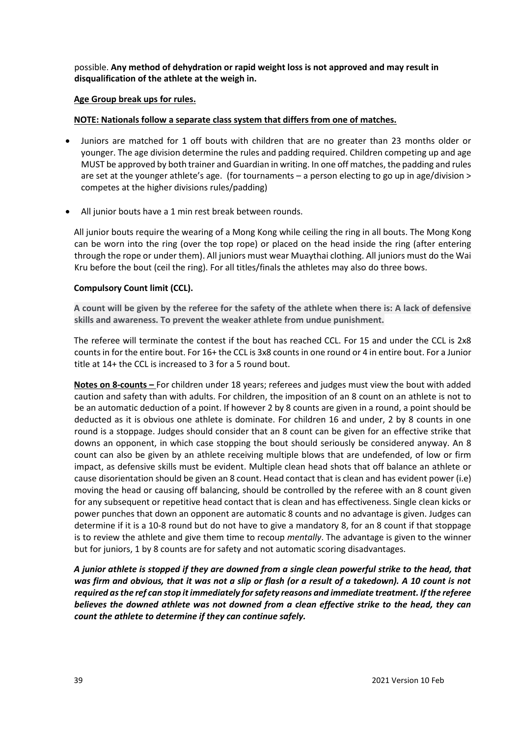possible. **Any method of dehydration or rapid weight loss is not approved and may result in disqualification of the athlete at the weigh in.** 

#### **Age Group break ups for rules.**

#### **NOTE: Nationals follow a separate class system that differs from one of matches.**

- Juniors are matched for 1 off bouts with children that are no greater than 23 months older or younger. The age division determine the rules and padding required. Children competing up and age MUST be approved by both trainer and Guardian in writing. In one off matches, the padding and rules are set at the younger athlete's age. (for tournaments – a person electing to go up in age/division > competes at the higher divisions rules/padding)
- All junior bouts have a 1 min rest break between rounds.

All junior bouts require the wearing of a Mong Kong while ceiling the ring in all bouts. The Mong Kong can be worn into the ring (over the top rope) or placed on the head inside the ring (after entering through the rope or under them). All juniors must wear Muaythai clothing. All juniors must do the Wai Kru before the bout (ceil the ring). For all titles/finals the athletes may also do three bows.

#### **Compulsory Count limit (CCL).**

**A count will be given by the referee for the safety of the athlete when there is: A lack of defensive skills and awareness. To prevent the weaker athlete from undue punishment.**

The referee will terminate the contest if the bout has reached CCL. For 15 and under the CCL is 2x8 counts in for the entire bout. For 16+ the CCL is 3x8 counts in one round or 4 in entire bout. For a Junior title at 14+ the CCL is increased to 3 for a 5 round bout.

**Notes on 8-counts –** For children under 18 years; referees and judges must view the bout with added caution and safety than with adults. For children, the imposition of an 8 count on an athlete is not to be an automatic deduction of a point. If however 2 by 8 counts are given in a round, a point should be deducted as it is obvious one athlete is dominate. For children 16 and under, 2 by 8 counts in one round is a stoppage. Judges should consider that an 8 count can be given for an effective strike that downs an opponent, in which case stopping the bout should seriously be considered anyway. An 8 count can also be given by an athlete receiving multiple blows that are undefended, of low or firm impact, as defensive skills must be evident. Multiple clean head shots that off balance an athlete or cause disorientation should be given an 8 count. Head contact that is clean and has evident power (i.e) moving the head or causing off balancing, should be controlled by the referee with an 8 count given for any subsequent or repetitive head contact that is clean and has effectiveness. Single clean kicks or power punches that down an opponent are automatic 8 counts and no advantage is given. Judges can determine if it is a 10-8 round but do not have to give a mandatory 8, for an 8 count if that stoppage is to review the athlete and give them time to recoup *mentally*. The advantage is given to the winner but for juniors, 1 by 8 counts are for safety and not automatic scoring disadvantages*.* 

*A junior athlete is stopped if they are downed from a single clean powerful strike to the head, that was firm and obvious, that it was not a slip or flash (or a result of a takedown). A 10 count is not required as the ref can stop it immediately for safety reasons and immediate treatment. If the referee believes the downed athlete was not downed from a clean effective strike to the head, they can count the athlete to determine if they can continue safely.*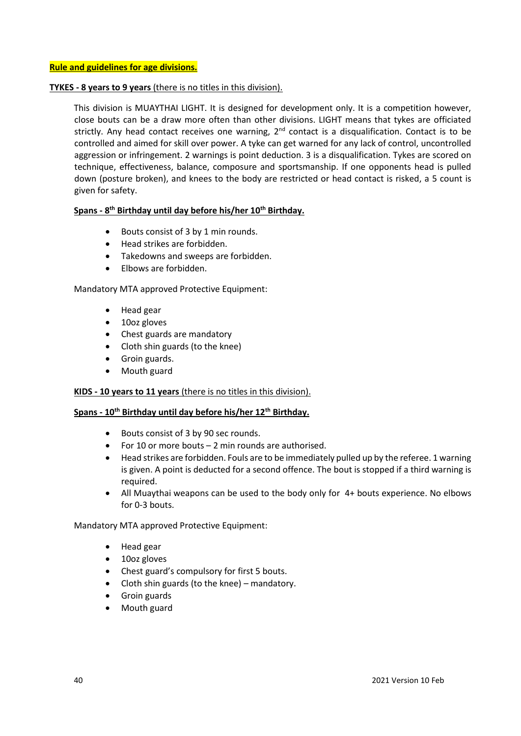# **TYKES - 8 years to 9 years** (there is no titles in this division).

This division is MUAYTHAI LIGHT. It is designed for development only. It is a competition however, close bouts can be a draw more often than other divisions. LIGHT means that tykes are officiated strictly. Any head contact receives one warning, 2<sup>nd</sup> contact is a disqualification. Contact is to be controlled and aimed for skill over power. A tyke can get warned for any lack of control, uncontrolled aggression or infringement. 2 warnings is point deduction. 3 is a disqualification. Tykes are scored on technique, effectiveness, balance, composure and sportsmanship. If one opponents head is pulled down (posture broken), and knees to the body are restricted or head contact is risked, a 5 count is given for safety.

# **Spans - 8 th Birthday until day before his/her 10th Birthday.**

- Bouts consist of 3 by 1 min rounds.
- Head strikes are forbidden.
- Takedowns and sweeps are forbidden.
- Elbows are forbidden.

Mandatory MTA approved Protective Equipment:

- Head gear
- 10oz gloves
- Chest guards are mandatory
- Cloth shin guards (to the knee)
- Groin guards.
- Mouth guard

# **KIDS - 10 years to 11 years** (there is no titles in this division).

#### **Spans - 10th Birthday until day before his/her 12th Birthday.**

- Bouts consist of 3 by 90 sec rounds.
- For 10 or more bouts 2 min rounds are authorised.
- Head strikes are forbidden. Fouls are to be immediately pulled up by the referee. 1 warning is given. A point is deducted for a second offence. The bout is stopped if a third warning is required.
- All Muaythai weapons can be used to the body only for 4+ bouts experience. No elbows for 0-3 bouts.

Mandatory MTA approved Protective Equipment:

- Head gear
- 10oz gloves
- Chest guard's compulsory for first 5 bouts.
- Cloth shin guards (to the knee) mandatory.
- Groin guards
- Mouth guard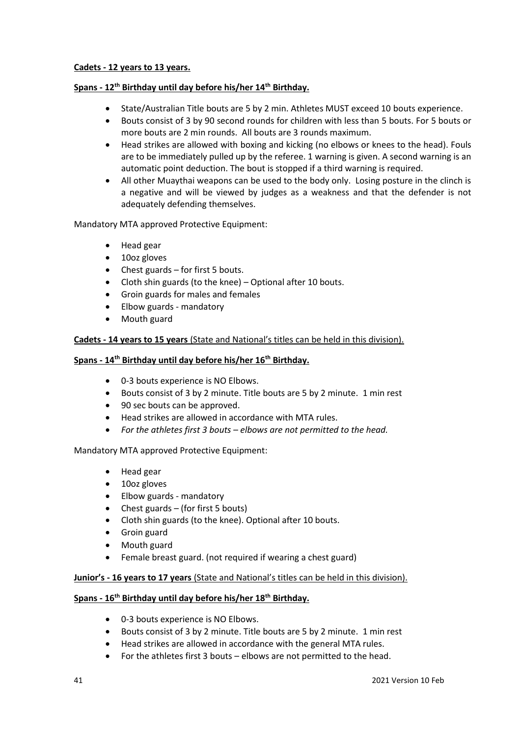### **Cadets - 12 years to 13 years.**

# **Spans - 12th Birthday until day before his/her 14th Birthday.**

- State/Australian Title bouts are 5 by 2 min. Athletes MUST exceed 10 bouts experience.
- Bouts consist of 3 by 90 second rounds for children with less than 5 bouts. For 5 bouts or more bouts are 2 min rounds. All bouts are 3 rounds maximum.
- Head strikes are allowed with boxing and kicking (no elbows or knees to the head). Fouls are to be immediately pulled up by the referee. 1 warning is given. A second warning is an automatic point deduction. The bout is stopped if a third warning is required.
- All other Muaythai weapons can be used to the body only. Losing posture in the clinch is a negative and will be viewed by judges as a weakness and that the defender is not adequately defending themselves.

Mandatory MTA approved Protective Equipment:

- Head gear
- 10oz gloves
- Chest guards for first 5 bouts.
- Cloth shin guards (to the knee) Optional after 10 bouts.
- Groin guards for males and females
- Elbow guards mandatory
- Mouth guard

# **Cadets - 14 years to 15 years** (State and National's titles can be held in this division).

# **Spans - 14th Birthday until day before his/her 16th Birthday.**

- 0-3 bouts experience is NO Elbows.
- Bouts consist of 3 by 2 minute. Title bouts are 5 by 2 minute. 1 min rest
- 90 sec bouts can be approved.
- Head strikes are allowed in accordance with MTA rules.
- *For the athletes first 3 bouts – elbows are not permitted to the head.*

Mandatory MTA approved Protective Equipment:

- Head gear
- 10oz gloves
- Elbow guards mandatory
- Chest guards (for first 5 bouts)
- Cloth shin guards (to the knee). Optional after 10 bouts.
- Groin guard
- Mouth guard
- Female breast guard. (not required if wearing a chest guard)

#### **Junior's - 16 years to 17 years** (State and National's titles can be held in this division).

### **Spans - 16th Birthday until day before his/her 18th Birthday.**

- 0-3 bouts experience is NO Elbows.
- Bouts consist of 3 by 2 minute. Title bouts are 5 by 2 minute. 1 min rest
- Head strikes are allowed in accordance with the general MTA rules.
- For the athletes first 3 bouts elbows are not permitted to the head.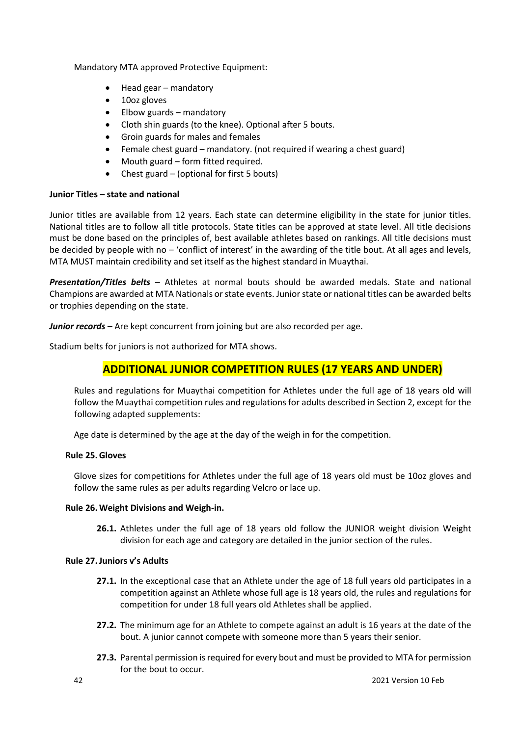Mandatory MTA approved Protective Equipment:

- Head gear mandatory
- 10oz gloves
- Elbow guards mandatory
- Cloth shin guards (to the knee). Optional after 5 bouts.
- Groin guards for males and females
- Female chest guard mandatory. (not required if wearing a chest guard)
- Mouth guard form fitted required.
- Chest guard (optional for first 5 bouts)

# **Junior Titles – state and national**

Junior titles are available from 12 years. Each state can determine eligibility in the state for junior titles. National titles are to follow all title protocols. State titles can be approved at state level. All title decisions must be done based on the principles of, best available athletes based on rankings. All title decisions must be decided by people with no – 'conflict of interest' in the awarding of the title bout. At all ages and levels, MTA MUST maintain credibility and set itself as the highest standard in Muaythai.

*Presentation/Titles belts –* Athletes at normal bouts should be awarded medals. State and national Champions are awarded at MTA Nationals or state events. Junior state or national titles can be awarded belts or trophies depending on the state.

*Junior records –* Are kept concurrent from joining but are also recorded per age.

Stadium belts for juniors is not authorized for MTA shows.

# **ADDITIONAL JUNIOR COMPETITION RULES (17 YEARS AND UNDER)**

Rules and regulations for Muaythai competition for Athletes under the full age of 18 years old will follow the Muaythai competition rules and regulations for adults described in Section 2, except for the following adapted supplements:

Age date is determined by the age at the day of the weigh in for the competition.

# **Rule 25.Gloves**

Glove sizes for competitions for Athletes under the full age of 18 years old must be 10oz gloves and follow the same rules as per adults regarding Velcro or lace up.

#### **Rule 26.Weight Divisions and Weigh-in.**

**26.1.** Athletes under the full age of 18 years old follow the JUNIOR weight division Weight division for each age and category are detailed in the junior section of the rules.

#### **Rule 27.Juniors v's Adults**

- **27.1.** In the exceptional case that an Athlete under the age of 18 full years old participates in a competition against an Athlete whose full age is 18 years old, the rules and regulations for competition for under 18 full years old Athletes shall be applied.
- **27.2.** The minimum age for an Athlete to compete against an adult is 16 years at the date of the bout. A junior cannot compete with someone more than 5 years their senior.
- **27.3.** Parental permission is required for every bout and must be provided to MTA for permission for the bout to occur.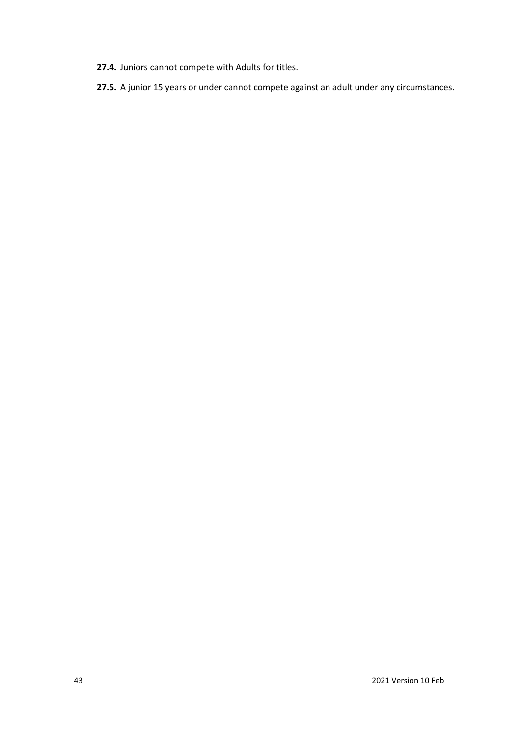- **27.4.** Juniors cannot compete with Adults for titles.
- **27.5.** A junior 15 years or under cannot compete against an adult under any circumstances.